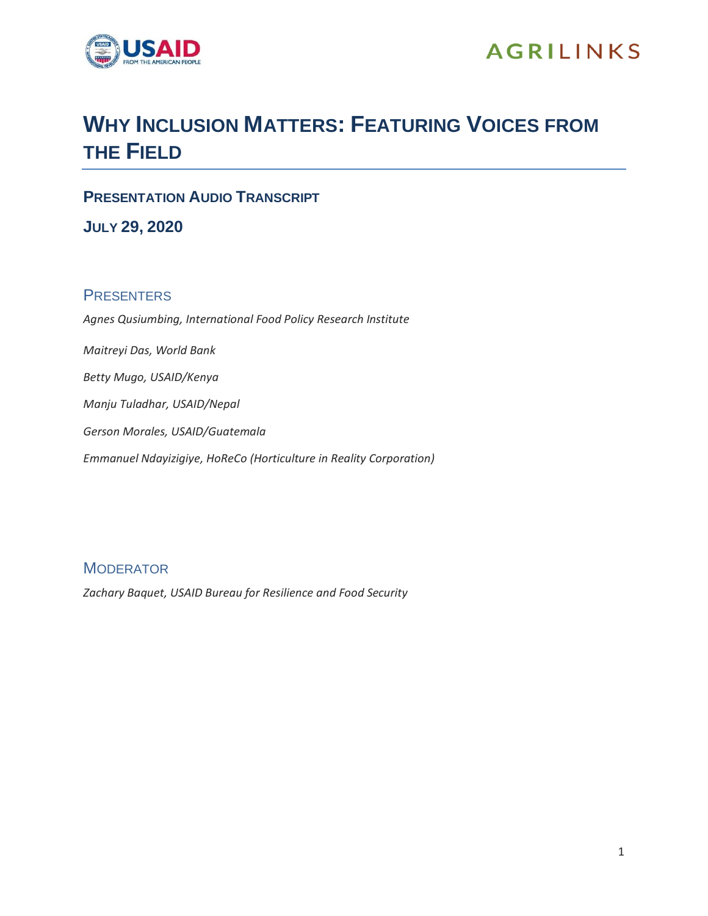

# **AGRILINKS**

# **WHY INCLUSION MATTERS: FEATURING VOICES FROM THE FIELD**

**PRESENTATION AUDIO TRANSCRIPT**

**JULY 29, 2020**

# **PRESENTERS**

*Agnes Qusiumbing, International Food Policy Research Institute Maitreyi Das, World Bank Betty Mugo, USAID/Kenya Manju Tuladhar, USAID/Nepal Gerson Morales, USAID/Guatemala Emmanuel Ndayizigiye, HoReCo (Horticulture in Reality Corporation)*

# **MODERATOR**

*Zachary Baquet, USAID Bureau for Resilience and Food Security*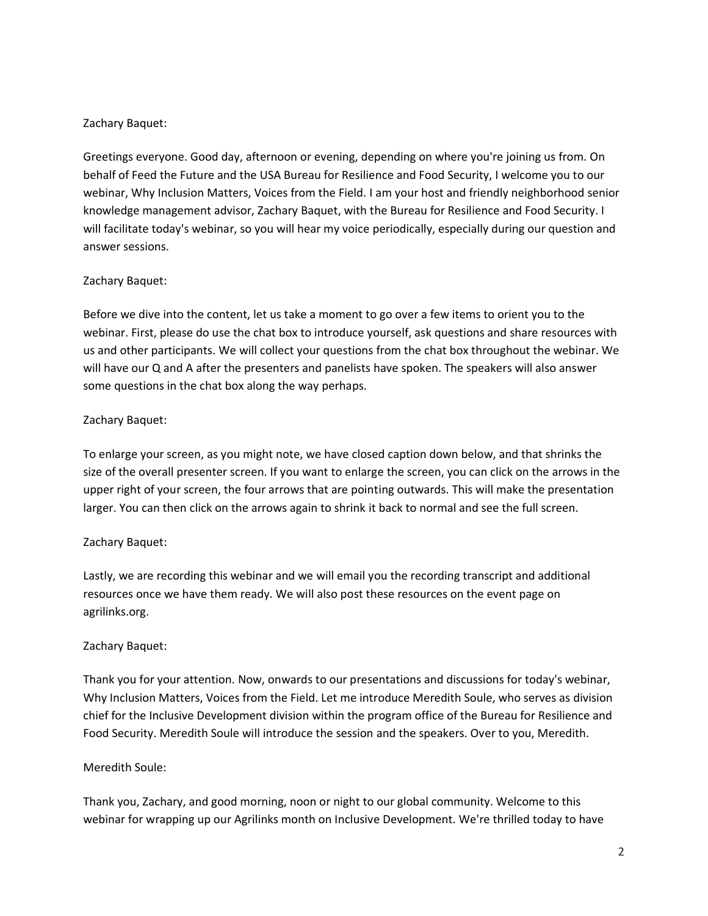#### Zachary Baquet:

Greetings everyone. Good day, afternoon or evening, depending on where you're joining us from. On behalf of Feed the Future and the USA Bureau for Resilience and Food Security, I welcome you to our webinar, Why Inclusion Matters, Voices from the Field. I am your host and friendly neighborhood senior knowledge management advisor, Zachary Baquet, with the Bureau for Resilience and Food Security. I will facilitate today's webinar, so you will hear my voice periodically, especially during our question and answer sessions.

#### Zachary Baquet:

Before we dive into the content, let us take a moment to go over a few items to orient you to the webinar. First, please do use the chat box to introduce yourself, ask questions and share resources with us and other participants. We will collect your questions from the chat box throughout the webinar. We will have our Q and A after the presenters and panelists have spoken. The speakers will also answer some questions in the chat box along the way perhaps.

#### Zachary Baquet:

To enlarge your screen, as you might note, we have closed caption down below, and that shrinks the size of the overall presenter screen. If you want to enlarge the screen, you can click on the arrows in the upper right of your screen, the four arrows that are pointing outwards. This will make the presentation larger. You can then click on the arrows again to shrink it back to normal and see the full screen.

#### Zachary Baquet:

Lastly, we are recording this webinar and we will email you the recording transcript and additional resources once we have them ready. We will also post these resources on the event page on agrilinks.org.

#### Zachary Baquet:

Thank you for your attention. Now, onwards to our presentations and discussions for today's webinar, Why Inclusion Matters, Voices from the Field. Let me introduce Meredith Soule, who serves as division chief for the Inclusive Development division within the program office of the Bureau for Resilience and Food Security. Meredith Soule will introduce the session and the speakers. Over to you, Meredith.

#### Meredith Soule:

Thank you, Zachary, and good morning, noon or night to our global community. Welcome to this webinar for wrapping up our Agrilinks month on Inclusive Development. We're thrilled today to have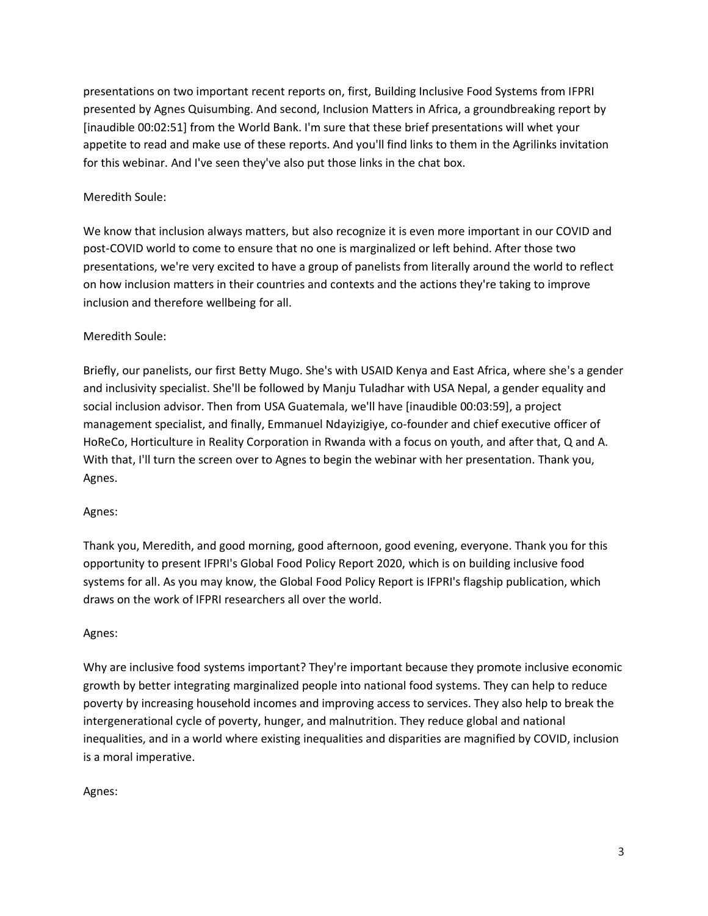presentations on two important recent reports on, first, Building Inclusive Food Systems from IFPRI presented by Agnes Quisumbing. And second, Inclusion Matters in Africa, a groundbreaking report by [inaudible 00:02:51] from the World Bank. I'm sure that these brief presentations will whet your appetite to read and make use of these reports. And you'll find links to them in the Agrilinks invitation for this webinar. And I've seen they've also put those links in the chat box.

## Meredith Soule:

We know that inclusion always matters, but also recognize it is even more important in our COVID and post-COVID world to come to ensure that no one is marginalized or left behind. After those two presentations, we're very excited to have a group of panelists from literally around the world to reflect on how inclusion matters in their countries and contexts and the actions they're taking to improve inclusion and therefore wellbeing for all.

# Meredith Soule:

Briefly, our panelists, our first Betty Mugo. She's with USAID Kenya and East Africa, where she's a gender and inclusivity specialist. She'll be followed by Manju Tuladhar with USA Nepal, a gender equality and social inclusion advisor. Then from USA Guatemala, we'll have [inaudible 00:03:59], a project management specialist, and finally, Emmanuel Ndayizigiye, co-founder and chief executive officer of HoReCo, Horticulture in Reality Corporation in Rwanda with a focus on youth, and after that, Q and A. With that, I'll turn the screen over to Agnes to begin the webinar with her presentation. Thank you, Agnes.

#### Agnes:

Thank you, Meredith, and good morning, good afternoon, good evening, everyone. Thank you for this opportunity to present IFPRI's Global Food Policy Report 2020, which is on building inclusive food systems for all. As you may know, the Global Food Policy Report is IFPRI's flagship publication, which draws on the work of IFPRI researchers all over the world.

#### Agnes:

Why are inclusive food systems important? They're important because they promote inclusive economic growth by better integrating marginalized people into national food systems. They can help to reduce poverty by increasing household incomes and improving access to services. They also help to break the intergenerational cycle of poverty, hunger, and malnutrition. They reduce global and national inequalities, and in a world where existing inequalities and disparities are magnified by COVID, inclusion is a moral imperative.

#### Agnes: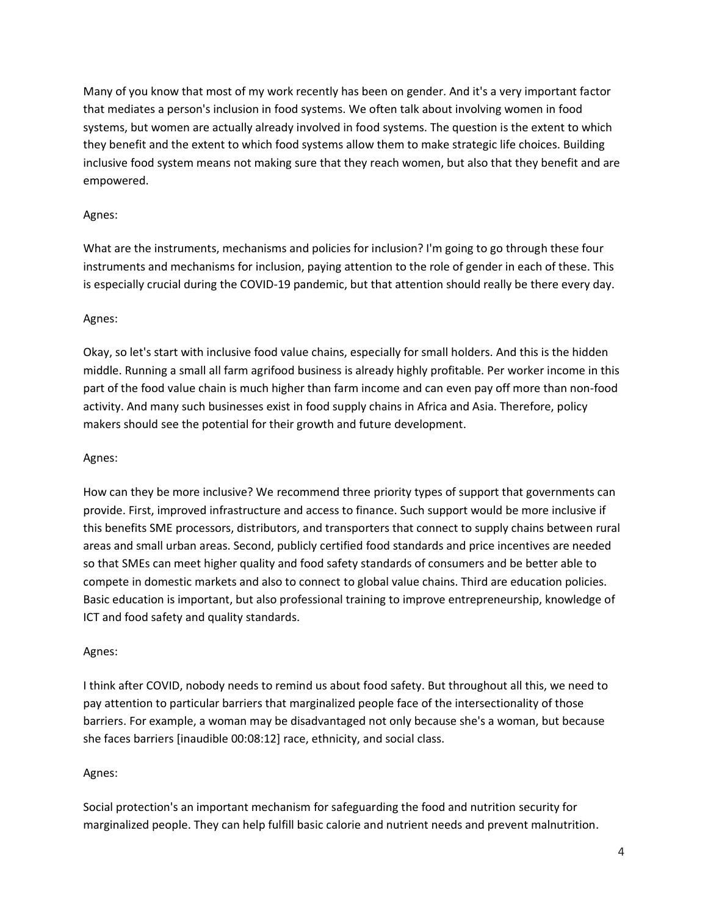Many of you know that most of my work recently has been on gender. And it's a very important factor that mediates a person's inclusion in food systems. We often talk about involving women in food systems, but women are actually already involved in food systems. The question is the extent to which they benefit and the extent to which food systems allow them to make strategic life choices. Building inclusive food system means not making sure that they reach women, but also that they benefit and are empowered.

#### Agnes:

What are the instruments, mechanisms and policies for inclusion? I'm going to go through these four instruments and mechanisms for inclusion, paying attention to the role of gender in each of these. This is especially crucial during the COVID-19 pandemic, but that attention should really be there every day.

#### Agnes:

Okay, so let's start with inclusive food value chains, especially for small holders. And this is the hidden middle. Running a small all farm agrifood business is already highly profitable. Per worker income in this part of the food value chain is much higher than farm income and can even pay off more than non-food activity. And many such businesses exist in food supply chains in Africa and Asia. Therefore, policy makers should see the potential for their growth and future development.

#### Agnes:

How can they be more inclusive? We recommend three priority types of support that governments can provide. First, improved infrastructure and access to finance. Such support would be more inclusive if this benefits SME processors, distributors, and transporters that connect to supply chains between rural areas and small urban areas. Second, publicly certified food standards and price incentives are needed so that SMEs can meet higher quality and food safety standards of consumers and be better able to compete in domestic markets and also to connect to global value chains. Third are education policies. Basic education is important, but also professional training to improve entrepreneurship, knowledge of ICT and food safety and quality standards.

#### Agnes:

I think after COVID, nobody needs to remind us about food safety. But throughout all this, we need to pay attention to particular barriers that marginalized people face of the intersectionality of those barriers. For example, a woman may be disadvantaged not only because she's a woman, but because she faces barriers [inaudible 00:08:12] race, ethnicity, and social class.

#### Agnes:

Social protection's an important mechanism for safeguarding the food and nutrition security for marginalized people. They can help fulfill basic calorie and nutrient needs and prevent malnutrition.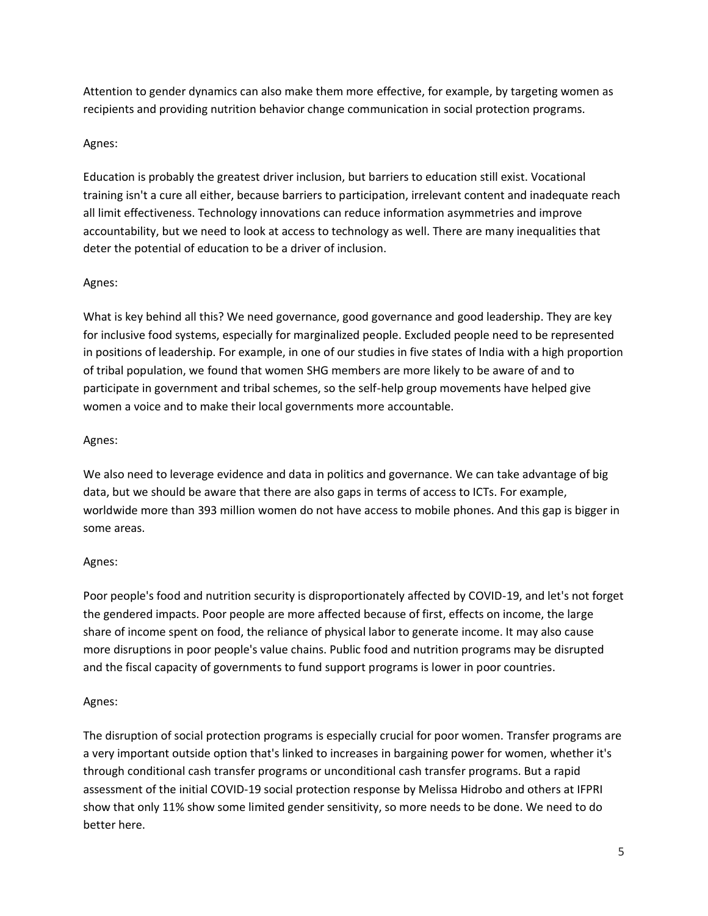Attention to gender dynamics can also make them more effective, for example, by targeting women as recipients and providing nutrition behavior change communication in social protection programs.

# Agnes:

Education is probably the greatest driver inclusion, but barriers to education still exist. Vocational training isn't a cure all either, because barriers to participation, irrelevant content and inadequate reach all limit effectiveness. Technology innovations can reduce information asymmetries and improve accountability, but we need to look at access to technology as well. There are many inequalities that deter the potential of education to be a driver of inclusion.

#### Agnes:

What is key behind all this? We need governance, good governance and good leadership. They are key for inclusive food systems, especially for marginalized people. Excluded people need to be represented in positions of leadership. For example, in one of our studies in five states of India with a high proportion of tribal population, we found that women SHG members are more likely to be aware of and to participate in government and tribal schemes, so the self-help group movements have helped give women a voice and to make their local governments more accountable.

# Agnes:

We also need to leverage evidence and data in politics and governance. We can take advantage of big data, but we should be aware that there are also gaps in terms of access to ICTs. For example, worldwide more than 393 million women do not have access to mobile phones. And this gap is bigger in some areas.

#### Agnes:

Poor people's food and nutrition security is disproportionately affected by COVID-19, and let's not forget the gendered impacts. Poor people are more affected because of first, effects on income, the large share of income spent on food, the reliance of physical labor to generate income. It may also cause more disruptions in poor people's value chains. Public food and nutrition programs may be disrupted and the fiscal capacity of governments to fund support programs is lower in poor countries.

#### Agnes:

The disruption of social protection programs is especially crucial for poor women. Transfer programs are a very important outside option that's linked to increases in bargaining power for women, whether it's through conditional cash transfer programs or unconditional cash transfer programs. But a rapid assessment of the initial COVID-19 social protection response by Melissa Hidrobo and others at IFPRI show that only 11% show some limited gender sensitivity, so more needs to be done. We need to do better here.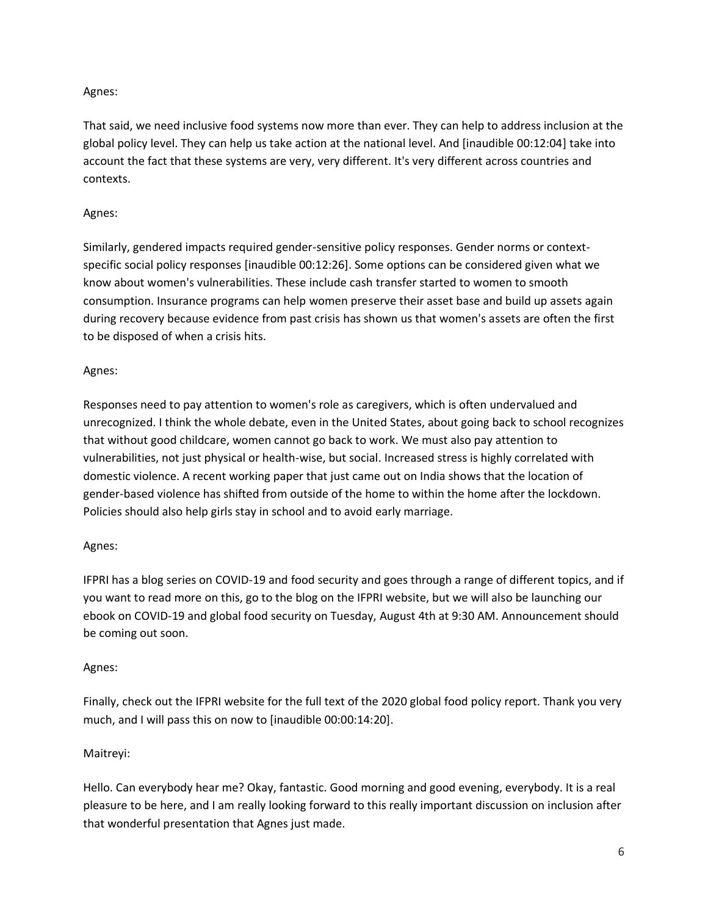# Agnes:

That said, we need inclusive food systems now more than ever. They can help to address inclusion at the global policy level. They can help us take action at the national level. And [inaudible 00:12:04] take into account the fact that these systems are very, very different. It's very different across countries and contexts.

## Agnes:

Similarly, gendered impacts required gender-sensitive policy responses. Gender norms or contextspecific social policy responses [inaudible 00:12:26]. Some options can be considered given what we know about women's vulnerabilities. These include cash transfer started to women to smooth consumption. Insurance programs can help women preserve their asset base and build up assets again during recovery because evidence from past crisis has shown us that women's assets are often the first to be disposed of when a crisis hits.

# Agnes:

Responses need to pay attention to women's role as caregivers, which is often undervalued and unrecognized. I think the whole debate, even in the United States, about going back to school recognizes that without good childcare, women cannot go back to work. We must also pay attention to vulnerabilities, not just physical or health-wise, but social. Increased stress is highly correlated with domestic violence. A recent working paper that just came out on India shows that the location of gender-based violence has shifted from outside of the home to within the home after the lockdown. Policies should also help girls stay in school and to avoid early marriage.

#### Agnes:

IFPRI has a blog series on COVID-19 and food security and goes through a range of different topics, and if you want to read more on this, go to the blog on the IFPRI website, but we will also be launching our ebook on COVID-19 and global food security on Tuesday, August 4th at 9:30 AM. Announcement should be coming out soon.

#### Agnes:

Finally, check out the IFPRI website for the full text of the 2020 global food policy report. Thank you very much, and I will pass this on now to [inaudible 00:00:14:20].

#### Maitreyi:

Hello. Can everybody hear me? Okay, fantastic. Good morning and good evening, everybody. It is a real pleasure to be here, and I am really looking forward to this really important discussion on inclusion after that wonderful presentation that Agnes just made.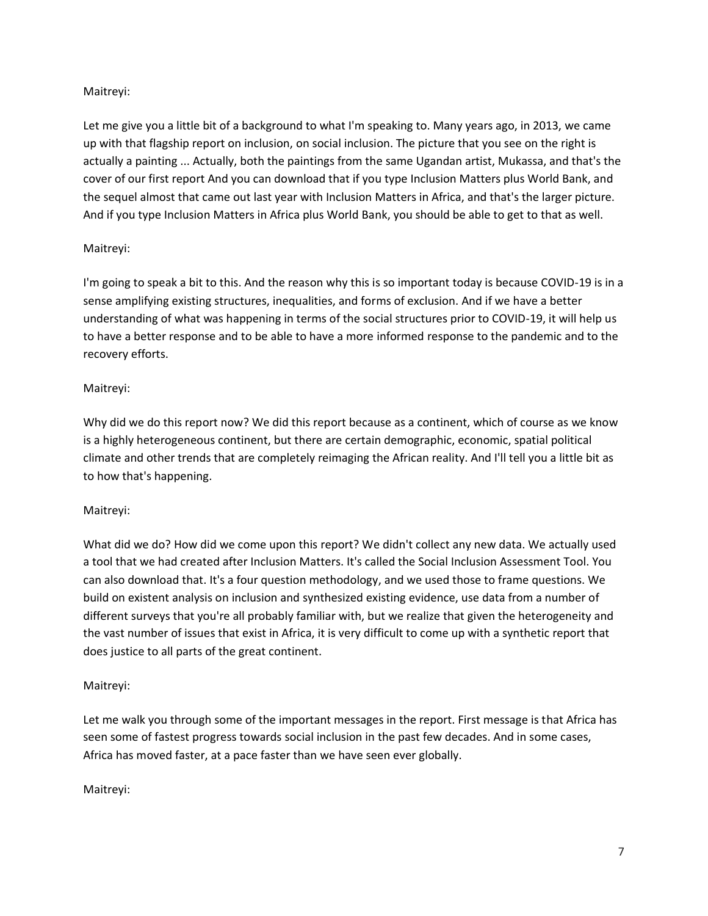# Maitreyi:

Let me give you a little bit of a background to what I'm speaking to. Many years ago, in 2013, we came up with that flagship report on inclusion, on social inclusion. The picture that you see on the right is actually a painting ... Actually, both the paintings from the same Ugandan artist, Mukassa, and that's the cover of our first report And you can download that if you type Inclusion Matters plus World Bank, and the sequel almost that came out last year with Inclusion Matters in Africa, and that's the larger picture. And if you type Inclusion Matters in Africa plus World Bank, you should be able to get to that as well.

# Maitreyi:

I'm going to speak a bit to this. And the reason why this is so important today is because COVID-19 is in a sense amplifying existing structures, inequalities, and forms of exclusion. And if we have a better understanding of what was happening in terms of the social structures prior to COVID-19, it will help us to have a better response and to be able to have a more informed response to the pandemic and to the recovery efforts.

# Maitreyi:

Why did we do this report now? We did this report because as a continent, which of course as we know is a highly heterogeneous continent, but there are certain demographic, economic, spatial political climate and other trends that are completely reimaging the African reality. And I'll tell you a little bit as to how that's happening.

#### Maitreyi:

What did we do? How did we come upon this report? We didn't collect any new data. We actually used a tool that we had created after Inclusion Matters. It's called the Social Inclusion Assessment Tool. You can also download that. It's a four question methodology, and we used those to frame questions. We build on existent analysis on inclusion and synthesized existing evidence, use data from a number of different surveys that you're all probably familiar with, but we realize that given the heterogeneity and the vast number of issues that exist in Africa, it is very difficult to come up with a synthetic report that does justice to all parts of the great continent.

# Maitreyi:

Let me walk you through some of the important messages in the report. First message is that Africa has seen some of fastest progress towards social inclusion in the past few decades. And in some cases, Africa has moved faster, at a pace faster than we have seen ever globally.

Maitreyi: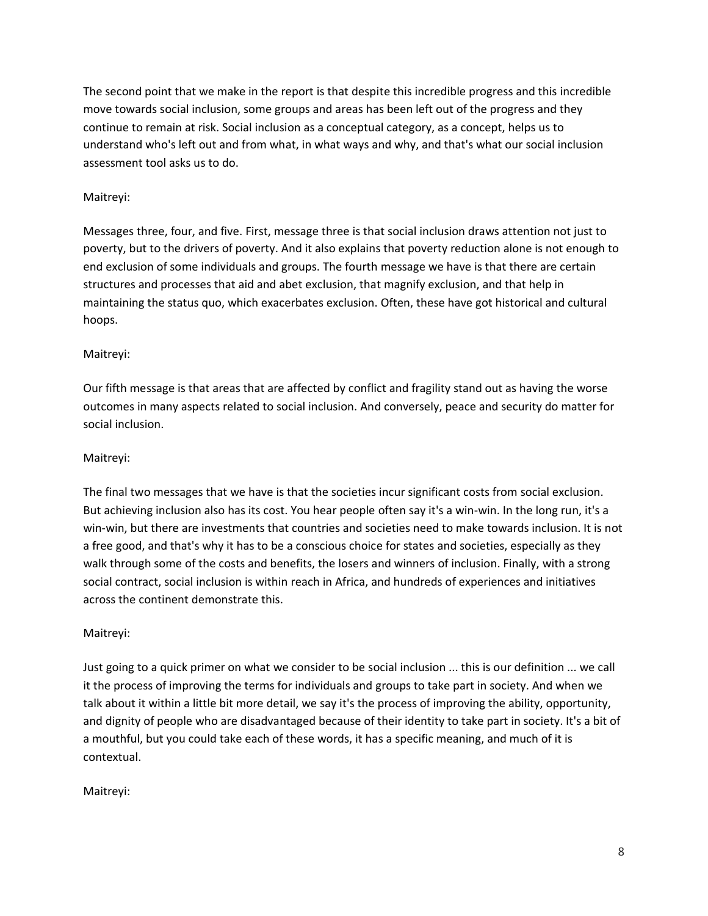The second point that we make in the report is that despite this incredible progress and this incredible move towards social inclusion, some groups and areas has been left out of the progress and they continue to remain at risk. Social inclusion as a conceptual category, as a concept, helps us to understand who's left out and from what, in what ways and why, and that's what our social inclusion assessment tool asks us to do.

# Maitreyi:

Messages three, four, and five. First, message three is that social inclusion draws attention not just to poverty, but to the drivers of poverty. And it also explains that poverty reduction alone is not enough to end exclusion of some individuals and groups. The fourth message we have is that there are certain structures and processes that aid and abet exclusion, that magnify exclusion, and that help in maintaining the status quo, which exacerbates exclusion. Often, these have got historical and cultural hoops.

# Maitreyi:

Our fifth message is that areas that are affected by conflict and fragility stand out as having the worse outcomes in many aspects related to social inclusion. And conversely, peace and security do matter for social inclusion.

# Maitreyi:

The final two messages that we have is that the societies incur significant costs from social exclusion. But achieving inclusion also has its cost. You hear people often say it's a win-win. In the long run, it's a win-win, but there are investments that countries and societies need to make towards inclusion. It is not a free good, and that's why it has to be a conscious choice for states and societies, especially as they walk through some of the costs and benefits, the losers and winners of inclusion. Finally, with a strong social contract, social inclusion is within reach in Africa, and hundreds of experiences and initiatives across the continent demonstrate this.

#### Maitreyi:

Just going to a quick primer on what we consider to be social inclusion ... this is our definition ... we call it the process of improving the terms for individuals and groups to take part in society. And when we talk about it within a little bit more detail, we say it's the process of improving the ability, opportunity, and dignity of people who are disadvantaged because of their identity to take part in society. It's a bit of a mouthful, but you could take each of these words, it has a specific meaning, and much of it is contextual.

Maitreyi: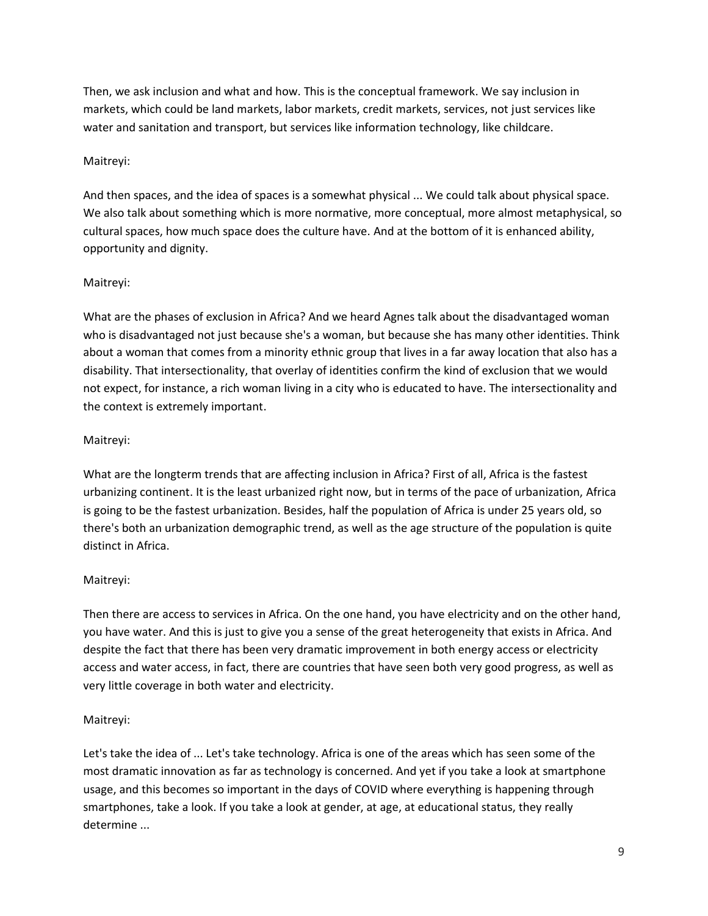Then, we ask inclusion and what and how. This is the conceptual framework. We say inclusion in markets, which could be land markets, labor markets, credit markets, services, not just services like water and sanitation and transport, but services like information technology, like childcare.

# Maitreyi:

And then spaces, and the idea of spaces is a somewhat physical ... We could talk about physical space. We also talk about something which is more normative, more conceptual, more almost metaphysical, so cultural spaces, how much space does the culture have. And at the bottom of it is enhanced ability, opportunity and dignity.

# Maitreyi:

What are the phases of exclusion in Africa? And we heard Agnes talk about the disadvantaged woman who is disadvantaged not just because she's a woman, but because she has many other identities. Think about a woman that comes from a minority ethnic group that lives in a far away location that also has a disability. That intersectionality, that overlay of identities confirm the kind of exclusion that we would not expect, for instance, a rich woman living in a city who is educated to have. The intersectionality and the context is extremely important.

# Maitreyi:

What are the longterm trends that are affecting inclusion in Africa? First of all, Africa is the fastest urbanizing continent. It is the least urbanized right now, but in terms of the pace of urbanization, Africa is going to be the fastest urbanization. Besides, half the population of Africa is under 25 years old, so there's both an urbanization demographic trend, as well as the age structure of the population is quite distinct in Africa.

# Maitreyi:

Then there are access to services in Africa. On the one hand, you have electricity and on the other hand, you have water. And this is just to give you a sense of the great heterogeneity that exists in Africa. And despite the fact that there has been very dramatic improvement in both energy access or electricity access and water access, in fact, there are countries that have seen both very good progress, as well as very little coverage in both water and electricity.

# Maitreyi:

Let's take the idea of ... Let's take technology. Africa is one of the areas which has seen some of the most dramatic innovation as far as technology is concerned. And yet if you take a look at smartphone usage, and this becomes so important in the days of COVID where everything is happening through smartphones, take a look. If you take a look at gender, at age, at educational status, they really determine ...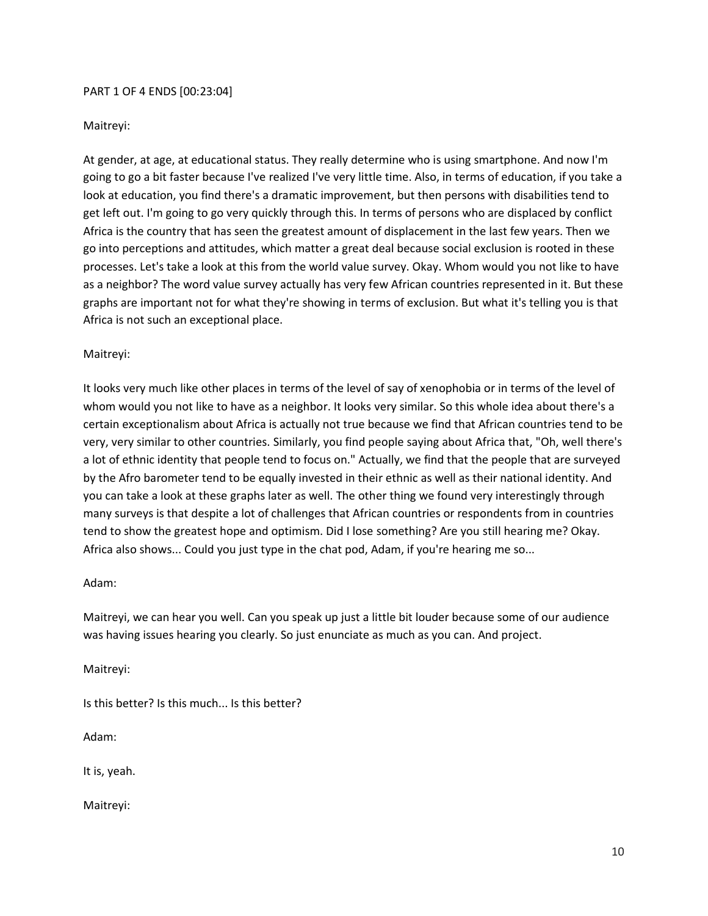#### PART 1 OF 4 ENDS [00:23:04]

#### Maitreyi:

At gender, at age, at educational status. They really determine who is using smartphone. And now I'm going to go a bit faster because I've realized I've very little time. Also, in terms of education, if you take a look at education, you find there's a dramatic improvement, but then persons with disabilities tend to get left out. I'm going to go very quickly through this. In terms of persons who are displaced by conflict Africa is the country that has seen the greatest amount of displacement in the last few years. Then we go into perceptions and attitudes, which matter a great deal because social exclusion is rooted in these processes. Let's take a look at this from the world value survey. Okay. Whom would you not like to have as a neighbor? The word value survey actually has very few African countries represented in it. But these graphs are important not for what they're showing in terms of exclusion. But what it's telling you is that Africa is not such an exceptional place.

#### Maitreyi:

It looks very much like other places in terms of the level of say of xenophobia or in terms of the level of whom would you not like to have as a neighbor. It looks very similar. So this whole idea about there's a certain exceptionalism about Africa is actually not true because we find that African countries tend to be very, very similar to other countries. Similarly, you find people saying about Africa that, "Oh, well there's a lot of ethnic identity that people tend to focus on." Actually, we find that the people that are surveyed by the Afro barometer tend to be equally invested in their ethnic as well as their national identity. And you can take a look at these graphs later as well. The other thing we found very interestingly through many surveys is that despite a lot of challenges that African countries or respondents from in countries tend to show the greatest hope and optimism. Did I lose something? Are you still hearing me? Okay. Africa also shows... Could you just type in the chat pod, Adam, if you're hearing me so...

#### Adam:

Maitreyi, we can hear you well. Can you speak up just a little bit louder because some of our audience was having issues hearing you clearly. So just enunciate as much as you can. And project.

Maitreyi:

Is this better? Is this much... Is this better?

Adam:

It is, yeah.

Maitreyi: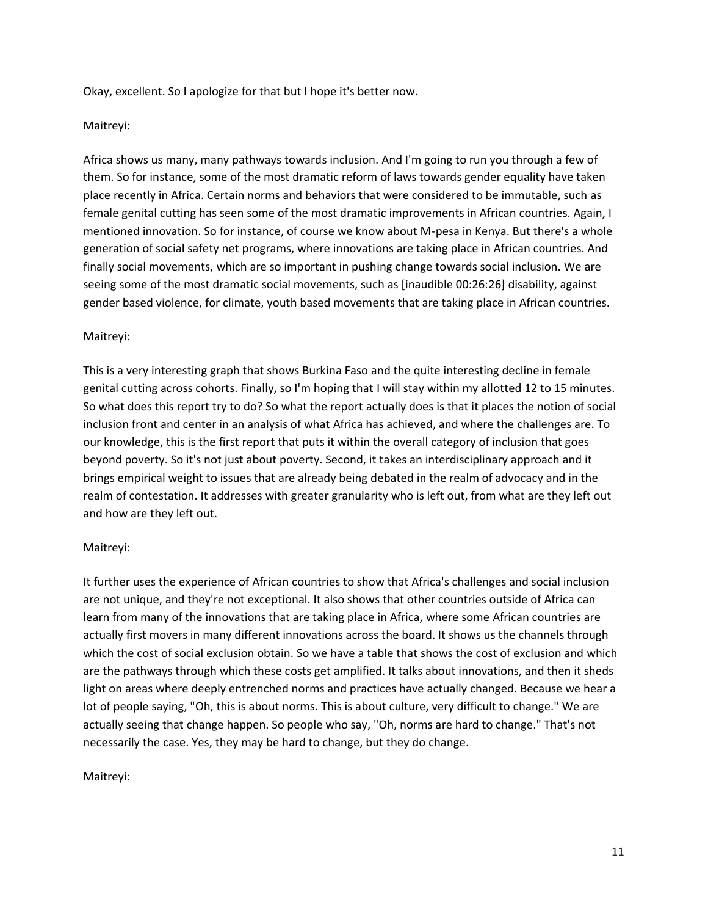Okay, excellent. So I apologize for that but I hope it's better now.

#### Maitreyi:

Africa shows us many, many pathways towards inclusion. And I'm going to run you through a few of them. So for instance, some of the most dramatic reform of laws towards gender equality have taken place recently in Africa. Certain norms and behaviors that were considered to be immutable, such as female genital cutting has seen some of the most dramatic improvements in African countries. Again, I mentioned innovation. So for instance, of course we know about M-pesa in Kenya. But there's a whole generation of social safety net programs, where innovations are taking place in African countries. And finally social movements, which are so important in pushing change towards social inclusion. We are seeing some of the most dramatic social movements, such as [inaudible 00:26:26] disability, against gender based violence, for climate, youth based movements that are taking place in African countries.

#### Maitreyi:

This is a very interesting graph that shows Burkina Faso and the quite interesting decline in female genital cutting across cohorts. Finally, so I'm hoping that I will stay within my allotted 12 to 15 minutes. So what does this report try to do? So what the report actually does is that it places the notion of social inclusion front and center in an analysis of what Africa has achieved, and where the challenges are. To our knowledge, this is the first report that puts it within the overall category of inclusion that goes beyond poverty. So it's not just about poverty. Second, it takes an interdisciplinary approach and it brings empirical weight to issues that are already being debated in the realm of advocacy and in the realm of contestation. It addresses with greater granularity who is left out, from what are they left out and how are they left out.

#### Maitreyi:

It further uses the experience of African countries to show that Africa's challenges and social inclusion are not unique, and they're not exceptional. It also shows that other countries outside of Africa can learn from many of the innovations that are taking place in Africa, where some African countries are actually first movers in many different innovations across the board. It shows us the channels through which the cost of social exclusion obtain. So we have a table that shows the cost of exclusion and which are the pathways through which these costs get amplified. It talks about innovations, and then it sheds light on areas where deeply entrenched norms and practices have actually changed. Because we hear a lot of people saying, "Oh, this is about norms. This is about culture, very difficult to change." We are actually seeing that change happen. So people who say, "Oh, norms are hard to change." That's not necessarily the case. Yes, they may be hard to change, but they do change.

#### Maitreyi: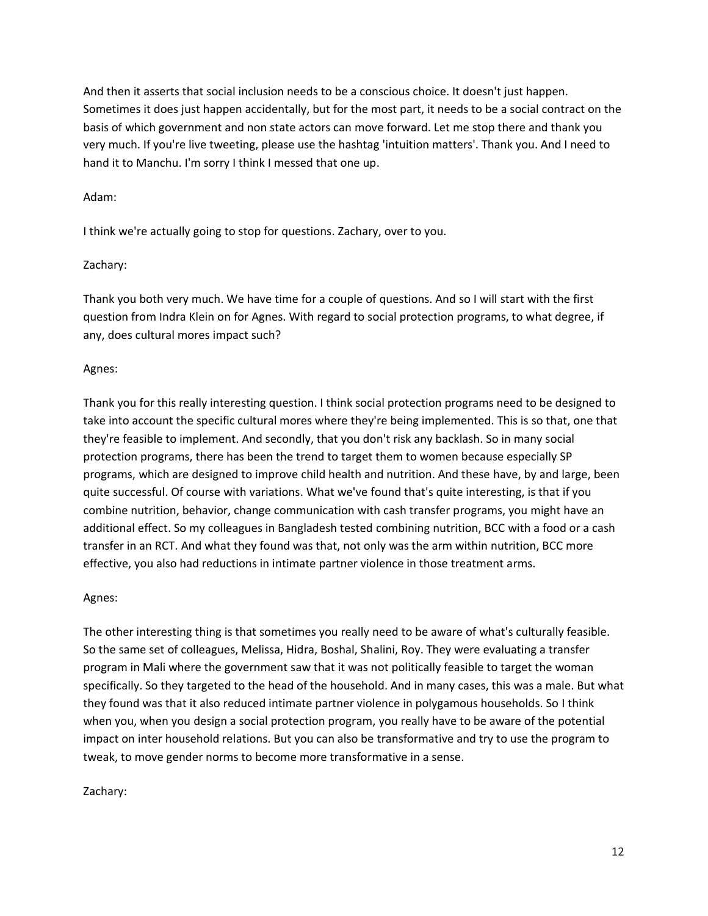And then it asserts that social inclusion needs to be a conscious choice. It doesn't just happen. Sometimes it does just happen accidentally, but for the most part, it needs to be a social contract on the basis of which government and non state actors can move forward. Let me stop there and thank you very much. If you're live tweeting, please use the hashtag 'intuition matters'. Thank you. And I need to hand it to Manchu. I'm sorry I think I messed that one up.

#### Adam:

I think we're actually going to stop for questions. Zachary, over to you.

#### Zachary:

Thank you both very much. We have time for a couple of questions. And so I will start with the first question from Indra Klein on for Agnes. With regard to social protection programs, to what degree, if any, does cultural mores impact such?

#### Agnes:

Thank you for this really interesting question. I think social protection programs need to be designed to take into account the specific cultural mores where they're being implemented. This is so that, one that they're feasible to implement. And secondly, that you don't risk any backlash. So in many social protection programs, there has been the trend to target them to women because especially SP programs, which are designed to improve child health and nutrition. And these have, by and large, been quite successful. Of course with variations. What we've found that's quite interesting, is that if you combine nutrition, behavior, change communication with cash transfer programs, you might have an additional effect. So my colleagues in Bangladesh tested combining nutrition, BCC with a food or a cash transfer in an RCT. And what they found was that, not only was the arm within nutrition, BCC more effective, you also had reductions in intimate partner violence in those treatment arms.

#### Agnes:

The other interesting thing is that sometimes you really need to be aware of what's culturally feasible. So the same set of colleagues, Melissa, Hidra, Boshal, Shalini, Roy. They were evaluating a transfer program in Mali where the government saw that it was not politically feasible to target the woman specifically. So they targeted to the head of the household. And in many cases, this was a male. But what they found was that it also reduced intimate partner violence in polygamous households. So I think when you, when you design a social protection program, you really have to be aware of the potential impact on inter household relations. But you can also be transformative and try to use the program to tweak, to move gender norms to become more transformative in a sense.

#### Zachary: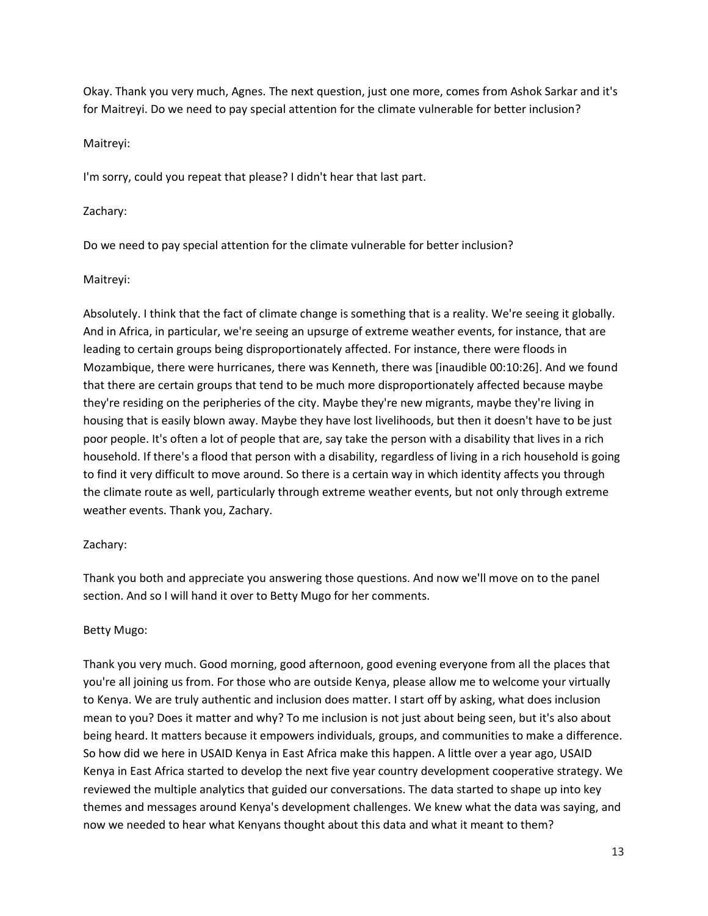Okay. Thank you very much, Agnes. The next question, just one more, comes from Ashok Sarkar and it's for Maitreyi. Do we need to pay special attention for the climate vulnerable for better inclusion?

# Maitreyi:

I'm sorry, could you repeat that please? I didn't hear that last part.

# Zachary:

Do we need to pay special attention for the climate vulnerable for better inclusion?

# Maitreyi:

Absolutely. I think that the fact of climate change is something that is a reality. We're seeing it globally. And in Africa, in particular, we're seeing an upsurge of extreme weather events, for instance, that are leading to certain groups being disproportionately affected. For instance, there were floods in Mozambique, there were hurricanes, there was Kenneth, there was [inaudible 00:10:26]. And we found that there are certain groups that tend to be much more disproportionately affected because maybe they're residing on the peripheries of the city. Maybe they're new migrants, maybe they're living in housing that is easily blown away. Maybe they have lost livelihoods, but then it doesn't have to be just poor people. It's often a lot of people that are, say take the person with a disability that lives in a rich household. If there's a flood that person with a disability, regardless of living in a rich household is going to find it very difficult to move around. So there is a certain way in which identity affects you through the climate route as well, particularly through extreme weather events, but not only through extreme weather events. Thank you, Zachary.

# Zachary:

Thank you both and appreciate you answering those questions. And now we'll move on to the panel section. And so I will hand it over to Betty Mugo for her comments.

# Betty Mugo:

Thank you very much. Good morning, good afternoon, good evening everyone from all the places that you're all joining us from. For those who are outside Kenya, please allow me to welcome your virtually to Kenya. We are truly authentic and inclusion does matter. I start off by asking, what does inclusion mean to you? Does it matter and why? To me inclusion is not just about being seen, but it's also about being heard. It matters because it empowers individuals, groups, and communities to make a difference. So how did we here in USAID Kenya in East Africa make this happen. A little over a year ago, USAID Kenya in East Africa started to develop the next five year country development cooperative strategy. We reviewed the multiple analytics that guided our conversations. The data started to shape up into key themes and messages around Kenya's development challenges. We knew what the data was saying, and now we needed to hear what Kenyans thought about this data and what it meant to them?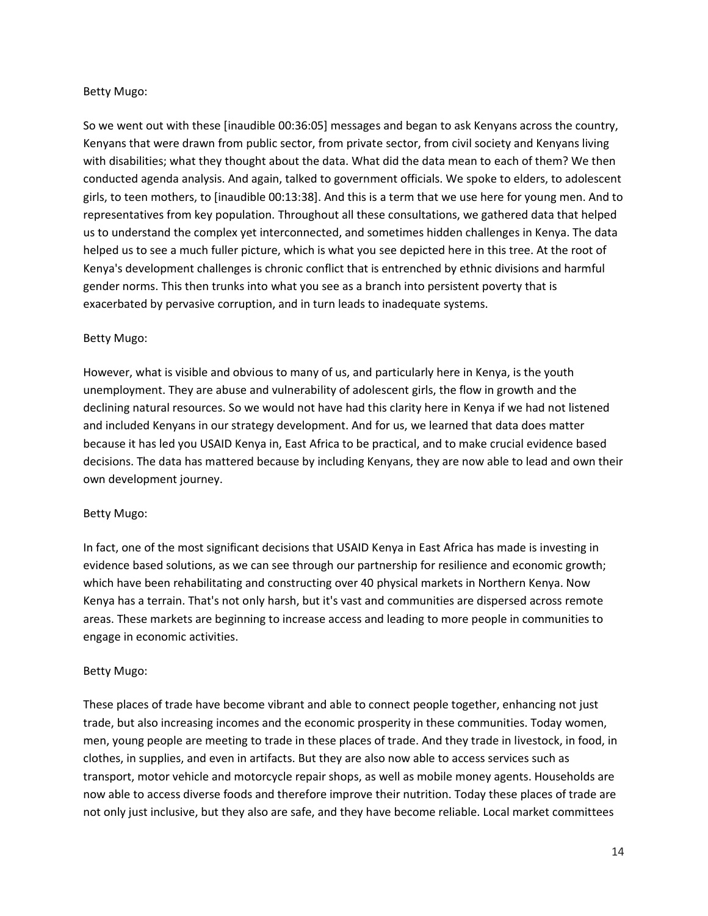## Betty Mugo:

So we went out with these [inaudible 00:36:05] messages and began to ask Kenyans across the country, Kenyans that were drawn from public sector, from private sector, from civil society and Kenyans living with disabilities; what they thought about the data. What did the data mean to each of them? We then conducted agenda analysis. And again, talked to government officials. We spoke to elders, to adolescent girls, to teen mothers, to [inaudible 00:13:38]. And this is a term that we use here for young men. And to representatives from key population. Throughout all these consultations, we gathered data that helped us to understand the complex yet interconnected, and sometimes hidden challenges in Kenya. The data helped us to see a much fuller picture, which is what you see depicted here in this tree. At the root of Kenya's development challenges is chronic conflict that is entrenched by ethnic divisions and harmful gender norms. This then trunks into what you see as a branch into persistent poverty that is exacerbated by pervasive corruption, and in turn leads to inadequate systems.

# Betty Mugo:

However, what is visible and obvious to many of us, and particularly here in Kenya, is the youth unemployment. They are abuse and vulnerability of adolescent girls, the flow in growth and the declining natural resources. So we would not have had this clarity here in Kenya if we had not listened and included Kenyans in our strategy development. And for us, we learned that data does matter because it has led you USAID Kenya in, East Africa to be practical, and to make crucial evidence based decisions. The data has mattered because by including Kenyans, they are now able to lead and own their own development journey.

#### Betty Mugo:

In fact, one of the most significant decisions that USAID Kenya in East Africa has made is investing in evidence based solutions, as we can see through our partnership for resilience and economic growth; which have been rehabilitating and constructing over 40 physical markets in Northern Kenya. Now Kenya has a terrain. That's not only harsh, but it's vast and communities are dispersed across remote areas. These markets are beginning to increase access and leading to more people in communities to engage in economic activities.

# Betty Mugo:

These places of trade have become vibrant and able to connect people together, enhancing not just trade, but also increasing incomes and the economic prosperity in these communities. Today women, men, young people are meeting to trade in these places of trade. And they trade in livestock, in food, in clothes, in supplies, and even in artifacts. But they are also now able to access services such as transport, motor vehicle and motorcycle repair shops, as well as mobile money agents. Households are now able to access diverse foods and therefore improve their nutrition. Today these places of trade are not only just inclusive, but they also are safe, and they have become reliable. Local market committees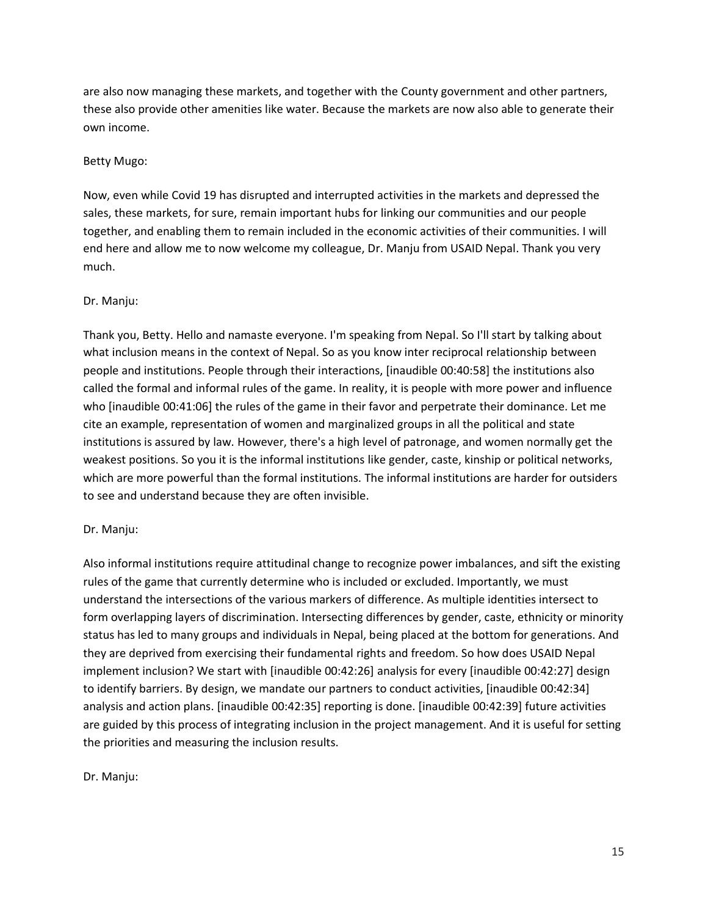are also now managing these markets, and together with the County government and other partners, these also provide other amenities like water. Because the markets are now also able to generate their own income.

#### Betty Mugo:

Now, even while Covid 19 has disrupted and interrupted activities in the markets and depressed the sales, these markets, for sure, remain important hubs for linking our communities and our people together, and enabling them to remain included in the economic activities of their communities. I will end here and allow me to now welcome my colleague, Dr. Manju from USAID Nepal. Thank you very much.

#### Dr. Manju:

Thank you, Betty. Hello and namaste everyone. I'm speaking from Nepal. So I'll start by talking about what inclusion means in the context of Nepal. So as you know inter reciprocal relationship between people and institutions. People through their interactions, [inaudible 00:40:58] the institutions also called the formal and informal rules of the game. In reality, it is people with more power and influence who [inaudible 00:41:06] the rules of the game in their favor and perpetrate their dominance. Let me cite an example, representation of women and marginalized groups in all the political and state institutions is assured by law. However, there's a high level of patronage, and women normally get the weakest positions. So you it is the informal institutions like gender, caste, kinship or political networks, which are more powerful than the formal institutions. The informal institutions are harder for outsiders to see and understand because they are often invisible.

#### Dr. Manju:

Also informal institutions require attitudinal change to recognize power imbalances, and sift the existing rules of the game that currently determine who is included or excluded. Importantly, we must understand the intersections of the various markers of difference. As multiple identities intersect to form overlapping layers of discrimination. Intersecting differences by gender, caste, ethnicity or minority status has led to many groups and individuals in Nepal, being placed at the bottom for generations. And they are deprived from exercising their fundamental rights and freedom. So how does USAID Nepal implement inclusion? We start with [inaudible 00:42:26] analysis for every [inaudible 00:42:27] design to identify barriers. By design, we mandate our partners to conduct activities, [inaudible 00:42:34] analysis and action plans. [inaudible 00:42:35] reporting is done. [inaudible 00:42:39] future activities are guided by this process of integrating inclusion in the project management. And it is useful for setting the priorities and measuring the inclusion results.

#### Dr. Manju: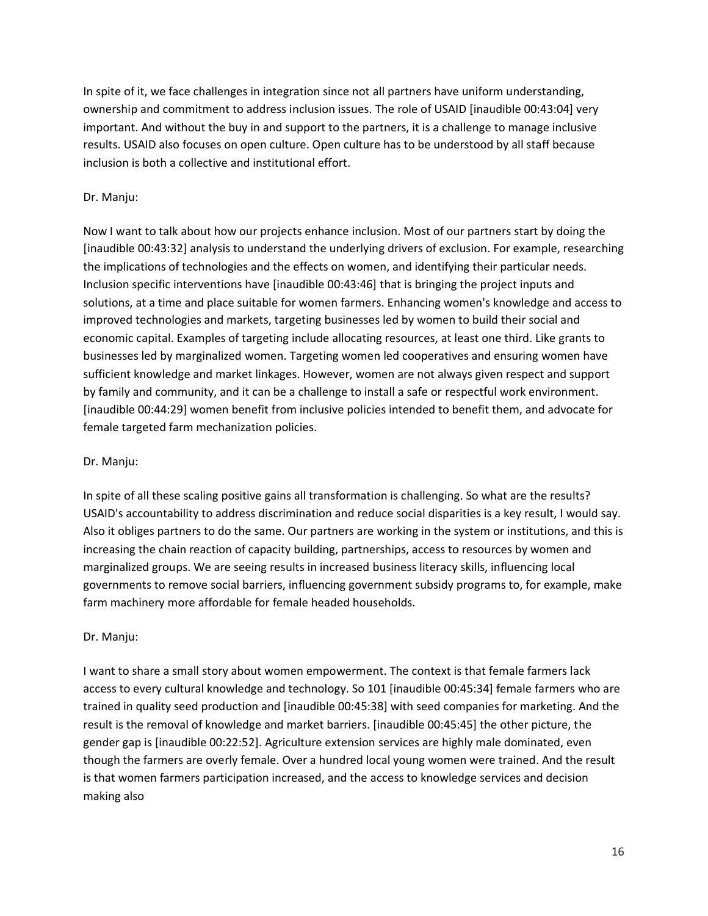In spite of it, we face challenges in integration since not all partners have uniform understanding, ownership and commitment to address inclusion issues. The role of USAID [inaudible 00:43:04] very important. And without the buy in and support to the partners, it is a challenge to manage inclusive results. USAID also focuses on open culture. Open culture has to be understood by all staff because inclusion is both a collective and institutional effort.

#### Dr. Manju:

Now I want to talk about how our projects enhance inclusion. Most of our partners start by doing the [inaudible 00:43:32] analysis to understand the underlying drivers of exclusion. For example, researching the implications of technologies and the effects on women, and identifying their particular needs. Inclusion specific interventions have [inaudible 00:43:46] that is bringing the project inputs and solutions, at a time and place suitable for women farmers. Enhancing women's knowledge and access to improved technologies and markets, targeting businesses led by women to build their social and economic capital. Examples of targeting include allocating resources, at least one third. Like grants to businesses led by marginalized women. Targeting women led cooperatives and ensuring women have sufficient knowledge and market linkages. However, women are not always given respect and support by family and community, and it can be a challenge to install a safe or respectful work environment. [inaudible 00:44:29] women benefit from inclusive policies intended to benefit them, and advocate for female targeted farm mechanization policies.

#### Dr. Manju:

In spite of all these scaling positive gains all transformation is challenging. So what are the results? USAID's accountability to address discrimination and reduce social disparities is a key result, I would say. Also it obliges partners to do the same. Our partners are working in the system or institutions, and this is increasing the chain reaction of capacity building, partnerships, access to resources by women and marginalized groups. We are seeing results in increased business literacy skills, influencing local governments to remove social barriers, influencing government subsidy programs to, for example, make farm machinery more affordable for female headed households.

#### Dr. Manju:

I want to share a small story about women empowerment. The context is that female farmers lack access to every cultural knowledge and technology. So 101 [inaudible 00:45:34] female farmers who are trained in quality seed production and [inaudible 00:45:38] with seed companies for marketing. And the result is the removal of knowledge and market barriers. [inaudible 00:45:45] the other picture, the gender gap is [inaudible 00:22:52]. Agriculture extension services are highly male dominated, even though the farmers are overly female. Over a hundred local young women were trained. And the result is that women farmers participation increased, and the access to knowledge services and decision making also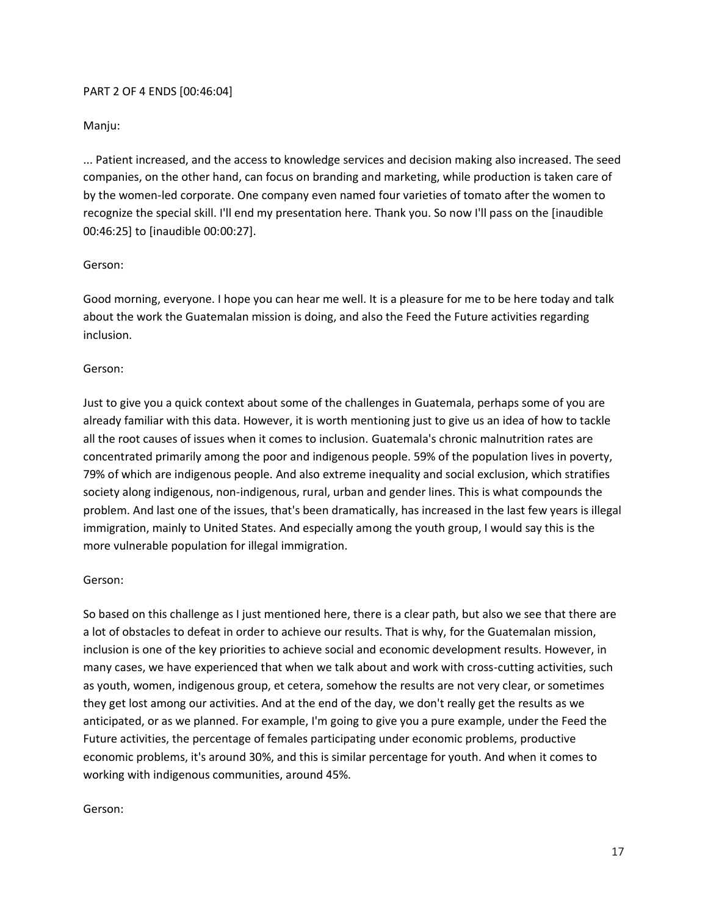#### PART 2 OF 4 ENDS [00:46:04]

#### Manju:

... Patient increased, and the access to knowledge services and decision making also increased. The seed companies, on the other hand, can focus on branding and marketing, while production is taken care of by the women-led corporate. One company even named four varieties of tomato after the women to recognize the special skill. I'll end my presentation here. Thank you. So now I'll pass on the [inaudible 00:46:25] to [inaudible 00:00:27].

#### Gerson:

Good morning, everyone. I hope you can hear me well. It is a pleasure for me to be here today and talk about the work the Guatemalan mission is doing, and also the Feed the Future activities regarding inclusion.

#### Gerson:

Just to give you a quick context about some of the challenges in Guatemala, perhaps some of you are already familiar with this data. However, it is worth mentioning just to give us an idea of how to tackle all the root causes of issues when it comes to inclusion. Guatemala's chronic malnutrition rates are concentrated primarily among the poor and indigenous people. 59% of the population lives in poverty, 79% of which are indigenous people. And also extreme inequality and social exclusion, which stratifies society along indigenous, non-indigenous, rural, urban and gender lines. This is what compounds the problem. And last one of the issues, that's been dramatically, has increased in the last few years is illegal immigration, mainly to United States. And especially among the youth group, I would say this is the more vulnerable population for illegal immigration.

#### Gerson:

So based on this challenge as I just mentioned here, there is a clear path, but also we see that there are a lot of obstacles to defeat in order to achieve our results. That is why, for the Guatemalan mission, inclusion is one of the key priorities to achieve social and economic development results. However, in many cases, we have experienced that when we talk about and work with cross-cutting activities, such as youth, women, indigenous group, et cetera, somehow the results are not very clear, or sometimes they get lost among our activities. And at the end of the day, we don't really get the results as we anticipated, or as we planned. For example, I'm going to give you a pure example, under the Feed the Future activities, the percentage of females participating under economic problems, productive economic problems, it's around 30%, and this is similar percentage for youth. And when it comes to working with indigenous communities, around 45%.

#### Gerson: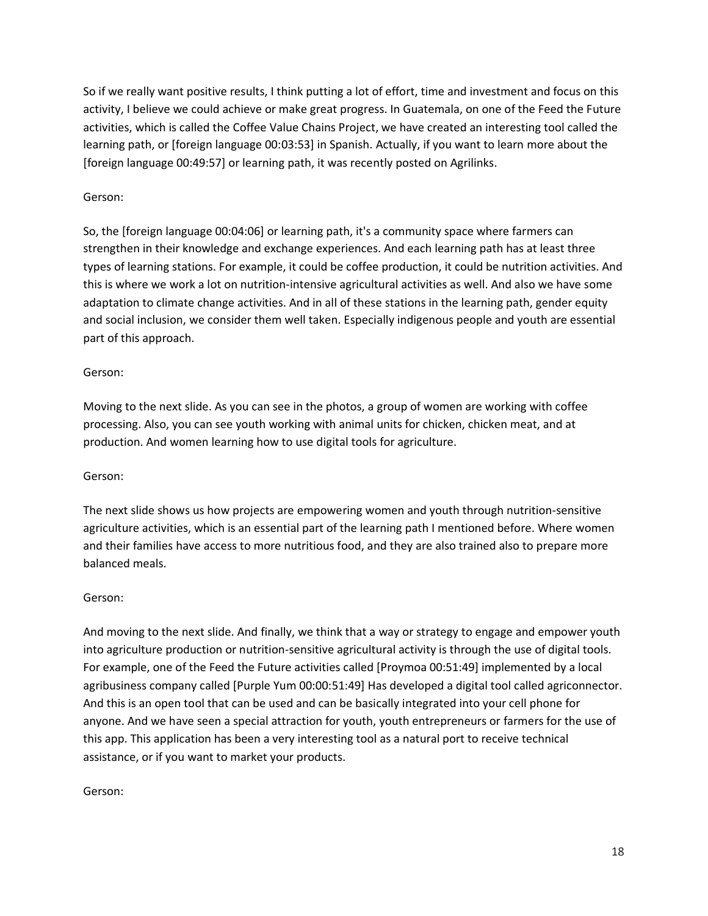So if we really want positive results, I think putting a lot of effort, time and investment and focus on this activity, I believe we could achieve or make great progress. In Guatemala, on one of the Feed the Future activities, which is called the Coffee Value Chains Project, we have created an interesting tool called the learning path, or [foreign language 00:03:53] in Spanish. Actually, if you want to learn more about the [foreign language 00:49:57] or learning path, it was recently posted on Agrilinks.

## Gerson:

So, the [foreign language 00:04:06] or learning path, it's a community space where farmers can strengthen in their knowledge and exchange experiences. And each learning path has at least three types of learning stations. For example, it could be coffee production, it could be nutrition activities. And this is where we work a lot on nutrition-intensive agricultural activities as well. And also we have some adaptation to climate change activities. And in all of these stations in the learning path, gender equity and social inclusion, we consider them well taken. Especially indigenous people and youth are essential part of this approach.

#### Gerson:

Moving to the next slide. As you can see in the photos, a group of women are working with coffee processing. Also, you can see youth working with animal units for chicken, chicken meat, and at production. And women learning how to use digital tools for agriculture.

#### Gerson:

The next slide shows us how projects are empowering women and youth through nutrition-sensitive agriculture activities, which is an essential part of the learning path I mentioned before. Where women and their families have access to more nutritious food, and they are also trained also to prepare more balanced meals.

#### Gerson:

And moving to the next slide. And finally, we think that a way or strategy to engage and empower youth into agriculture production or nutrition-sensitive agricultural activity is through the use of digital tools. For example, one of the Feed the Future activities called [Proymoa 00:51:49] implemented by a local agribusiness company called [Purple Yum 00:00:51:49] Has developed a digital tool called agriconnector. And this is an open tool that can be used and can be basically integrated into your cell phone for anyone. And we have seen a special attraction for youth, youth entrepreneurs or farmers for the use of this app. This application has been a very interesting tool as a natural port to receive technical assistance, or if you want to market your products.

#### Gerson: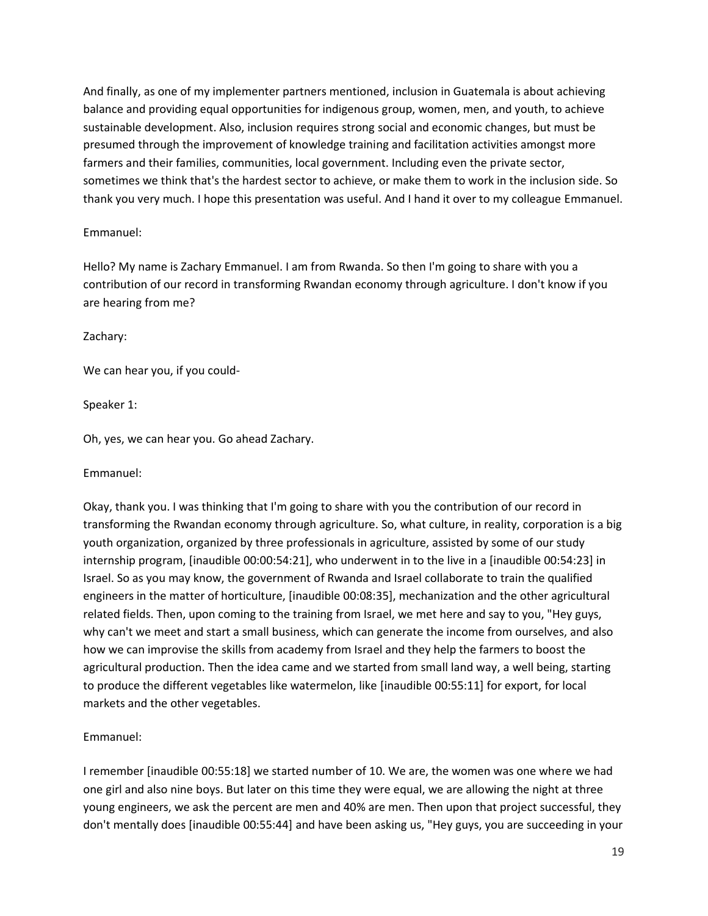And finally, as one of my implementer partners mentioned, inclusion in Guatemala is about achieving balance and providing equal opportunities for indigenous group, women, men, and youth, to achieve sustainable development. Also, inclusion requires strong social and economic changes, but must be presumed through the improvement of knowledge training and facilitation activities amongst more farmers and their families, communities, local government. Including even the private sector, sometimes we think that's the hardest sector to achieve, or make them to work in the inclusion side. So thank you very much. I hope this presentation was useful. And I hand it over to my colleague Emmanuel.

#### Emmanuel:

Hello? My name is Zachary Emmanuel. I am from Rwanda. So then I'm going to share with you a contribution of our record in transforming Rwandan economy through agriculture. I don't know if you are hearing from me?

Zachary:

We can hear you, if you could-

Speaker 1:

Oh, yes, we can hear you. Go ahead Zachary.

Emmanuel:

Okay, thank you. I was thinking that I'm going to share with you the contribution of our record in transforming the Rwandan economy through agriculture. So, what culture, in reality, corporation is a big youth organization, organized by three professionals in agriculture, assisted by some of our study internship program, [inaudible 00:00:54:21], who underwent in to the live in a [inaudible 00:54:23] in Israel. So as you may know, the government of Rwanda and Israel collaborate to train the qualified engineers in the matter of horticulture, [inaudible 00:08:35], mechanization and the other agricultural related fields. Then, upon coming to the training from Israel, we met here and say to you, "Hey guys, why can't we meet and start a small business, which can generate the income from ourselves, and also how we can improvise the skills from academy from Israel and they help the farmers to boost the agricultural production. Then the idea came and we started from small land way, a well being, starting to produce the different vegetables like watermelon, like [inaudible 00:55:11] for export, for local markets and the other vegetables.

Emmanuel:

I remember [inaudible 00:55:18] we started number of 10. We are, the women was one where we had one girl and also nine boys. But later on this time they were equal, we are allowing the night at three young engineers, we ask the percent are men and 40% are men. Then upon that project successful, they don't mentally does [inaudible 00:55:44] and have been asking us, "Hey guys, you are succeeding in your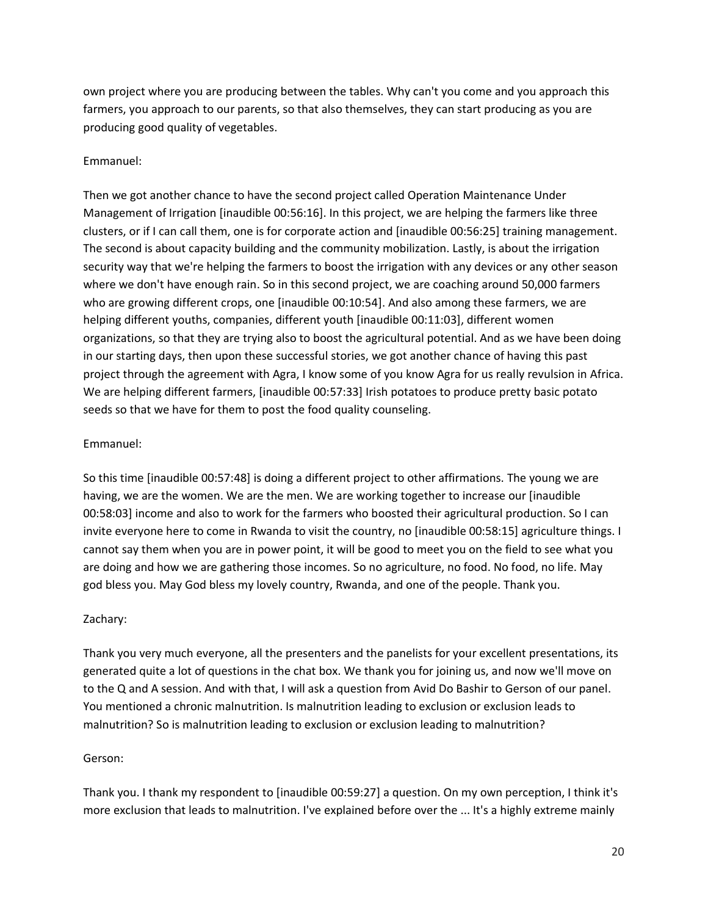own project where you are producing between the tables. Why can't you come and you approach this farmers, you approach to our parents, so that also themselves, they can start producing as you are producing good quality of vegetables.

#### Emmanuel:

Then we got another chance to have the second project called Operation Maintenance Under Management of Irrigation [inaudible 00:56:16]. In this project, we are helping the farmers like three clusters, or if I can call them, one is for corporate action and [inaudible 00:56:25] training management. The second is about capacity building and the community mobilization. Lastly, is about the irrigation security way that we're helping the farmers to boost the irrigation with any devices or any other season where we don't have enough rain. So in this second project, we are coaching around 50,000 farmers who are growing different crops, one [inaudible 00:10:54]. And also among these farmers, we are helping different youths, companies, different youth [inaudible 00:11:03], different women organizations, so that they are trying also to boost the agricultural potential. And as we have been doing in our starting days, then upon these successful stories, we got another chance of having this past project through the agreement with Agra, I know some of you know Agra for us really revulsion in Africa. We are helping different farmers, [inaudible 00:57:33] Irish potatoes to produce pretty basic potato seeds so that we have for them to post the food quality counseling.

#### Emmanuel:

So this time [inaudible 00:57:48] is doing a different project to other affirmations. The young we are having, we are the women. We are the men. We are working together to increase our [inaudible 00:58:03] income and also to work for the farmers who boosted their agricultural production. So I can invite everyone here to come in Rwanda to visit the country, no [inaudible 00:58:15] agriculture things. I cannot say them when you are in power point, it will be good to meet you on the field to see what you are doing and how we are gathering those incomes. So no agriculture, no food. No food, no life. May god bless you. May God bless my lovely country, Rwanda, and one of the people. Thank you.

#### Zachary:

Thank you very much everyone, all the presenters and the panelists for your excellent presentations, its generated quite a lot of questions in the chat box. We thank you for joining us, and now we'll move on to the Q and A session. And with that, I will ask a question from Avid Do Bashir to Gerson of our panel. You mentioned a chronic malnutrition. Is malnutrition leading to exclusion or exclusion leads to malnutrition? So is malnutrition leading to exclusion or exclusion leading to malnutrition?

#### Gerson:

Thank you. I thank my respondent to [inaudible 00:59:27] a question. On my own perception, I think it's more exclusion that leads to malnutrition. I've explained before over the ... It's a highly extreme mainly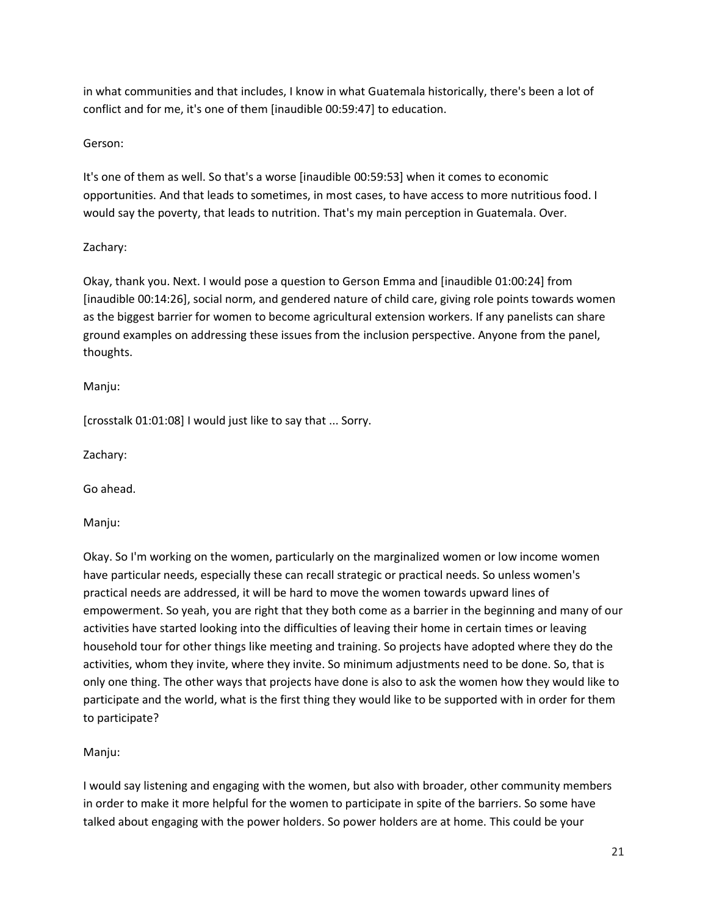in what communities and that includes, I know in what Guatemala historically, there's been a lot of conflict and for me, it's one of them [inaudible 00:59:47] to education.

# Gerson:

It's one of them as well. So that's a worse [inaudible 00:59:53] when it comes to economic opportunities. And that leads to sometimes, in most cases, to have access to more nutritious food. I would say the poverty, that leads to nutrition. That's my main perception in Guatemala. Over.

# Zachary:

Okay, thank you. Next. I would pose a question to Gerson Emma and [inaudible 01:00:24] from [inaudible 00:14:26], social norm, and gendered nature of child care, giving role points towards women as the biggest barrier for women to become agricultural extension workers. If any panelists can share ground examples on addressing these issues from the inclusion perspective. Anyone from the panel, thoughts.

# Manju:

[crosstalk 01:01:08] I would just like to say that ... Sorry.

Zachary:

Go ahead.

Manju:

Okay. So I'm working on the women, particularly on the marginalized women or low income women have particular needs, especially these can recall strategic or practical needs. So unless women's practical needs are addressed, it will be hard to move the women towards upward lines of empowerment. So yeah, you are right that they both come as a barrier in the beginning and many of our activities have started looking into the difficulties of leaving their home in certain times or leaving household tour for other things like meeting and training. So projects have adopted where they do the activities, whom they invite, where they invite. So minimum adjustments need to be done. So, that is only one thing. The other ways that projects have done is also to ask the women how they would like to participate and the world, what is the first thing they would like to be supported with in order for them to participate?

# Manju:

I would say listening and engaging with the women, but also with broader, other community members in order to make it more helpful for the women to participate in spite of the barriers. So some have talked about engaging with the power holders. So power holders are at home. This could be your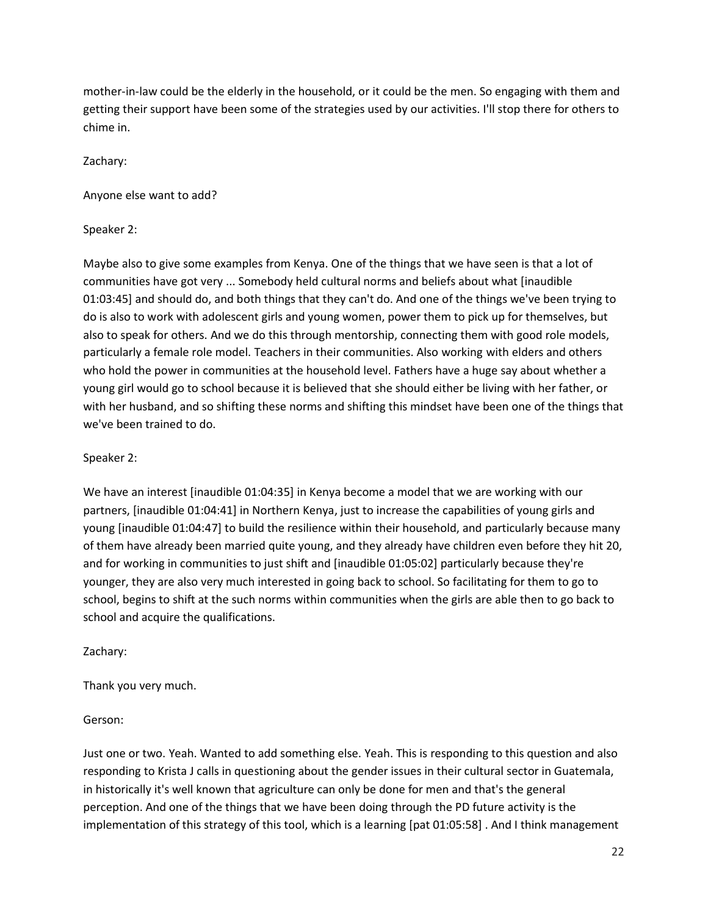mother-in-law could be the elderly in the household, or it could be the men. So engaging with them and getting their support have been some of the strategies used by our activities. I'll stop there for others to chime in.

Zachary:

Anyone else want to add?

Speaker 2:

Maybe also to give some examples from Kenya. One of the things that we have seen is that a lot of communities have got very ... Somebody held cultural norms and beliefs about what [inaudible 01:03:45] and should do, and both things that they can't do. And one of the things we've been trying to do is also to work with adolescent girls and young women, power them to pick up for themselves, but also to speak for others. And we do this through mentorship, connecting them with good role models, particularly a female role model. Teachers in their communities. Also working with elders and others who hold the power in communities at the household level. Fathers have a huge say about whether a young girl would go to school because it is believed that she should either be living with her father, or with her husband, and so shifting these norms and shifting this mindset have been one of the things that we've been trained to do.

Speaker 2:

We have an interest [inaudible 01:04:35] in Kenya become a model that we are working with our partners, [inaudible 01:04:41] in Northern Kenya, just to increase the capabilities of young girls and young [inaudible 01:04:47] to build the resilience within their household, and particularly because many of them have already been married quite young, and they already have children even before they hit 20, and for working in communities to just shift and [inaudible 01:05:02] particularly because they're younger, they are also very much interested in going back to school. So facilitating for them to go to school, begins to shift at the such norms within communities when the girls are able then to go back to school and acquire the qualifications.

Zachary:

Thank you very much.

Gerson:

Just one or two. Yeah. Wanted to add something else. Yeah. This is responding to this question and also responding to Krista J calls in questioning about the gender issues in their cultural sector in Guatemala, in historically it's well known that agriculture can only be done for men and that's the general perception. And one of the things that we have been doing through the PD future activity is the implementation of this strategy of this tool, which is a learning [pat 01:05:58] . And I think management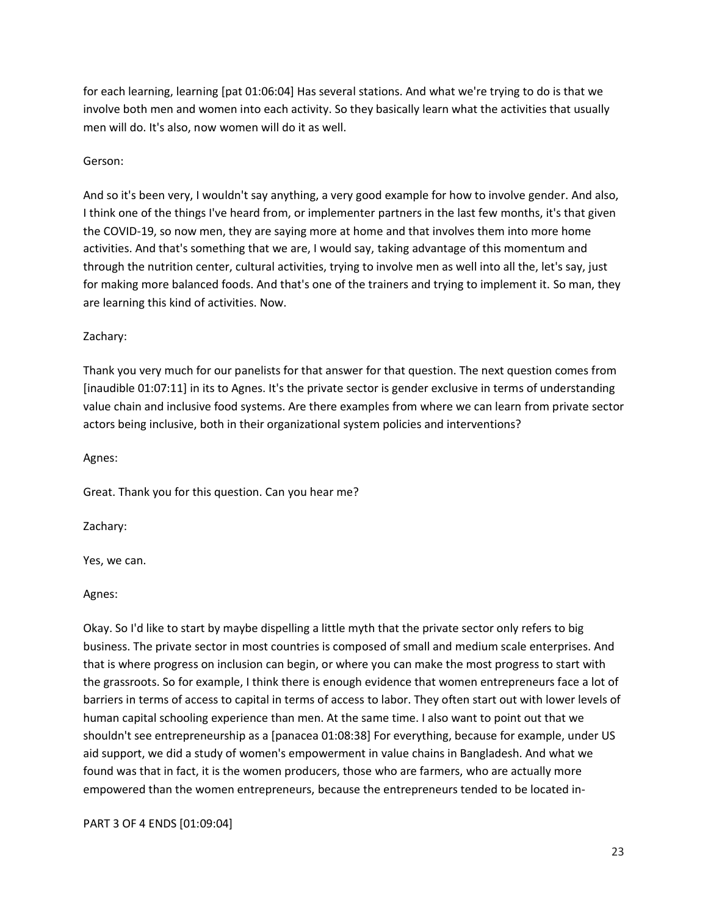for each learning, learning [pat 01:06:04] Has several stations. And what we're trying to do is that we involve both men and women into each activity. So they basically learn what the activities that usually men will do. It's also, now women will do it as well.

#### Gerson:

And so it's been very, I wouldn't say anything, a very good example for how to involve gender. And also, I think one of the things I've heard from, or implementer partners in the last few months, it's that given the COVID-19, so now men, they are saying more at home and that involves them into more home activities. And that's something that we are, I would say, taking advantage of this momentum and through the nutrition center, cultural activities, trying to involve men as well into all the, let's say, just for making more balanced foods. And that's one of the trainers and trying to implement it. So man, they are learning this kind of activities. Now.

#### Zachary:

Thank you very much for our panelists for that answer for that question. The next question comes from [inaudible 01:07:11] in its to Agnes. It's the private sector is gender exclusive in terms of understanding value chain and inclusive food systems. Are there examples from where we can learn from private sector actors being inclusive, both in their organizational system policies and interventions?

Agnes:

Great. Thank you for this question. Can you hear me?

Zachary:

Yes, we can.

Agnes:

Okay. So I'd like to start by maybe dispelling a little myth that the private sector only refers to big business. The private sector in most countries is composed of small and medium scale enterprises. And that is where progress on inclusion can begin, or where you can make the most progress to start with the grassroots. So for example, I think there is enough evidence that women entrepreneurs face a lot of barriers in terms of access to capital in terms of access to labor. They often start out with lower levels of human capital schooling experience than men. At the same time. I also want to point out that we shouldn't see entrepreneurship as a [panacea 01:08:38] For everything, because for example, under US aid support, we did a study of women's empowerment in value chains in Bangladesh. And what we found was that in fact, it is the women producers, those who are farmers, who are actually more empowered than the women entrepreneurs, because the entrepreneurs tended to be located in-

PART 3 OF 4 ENDS [01:09:04]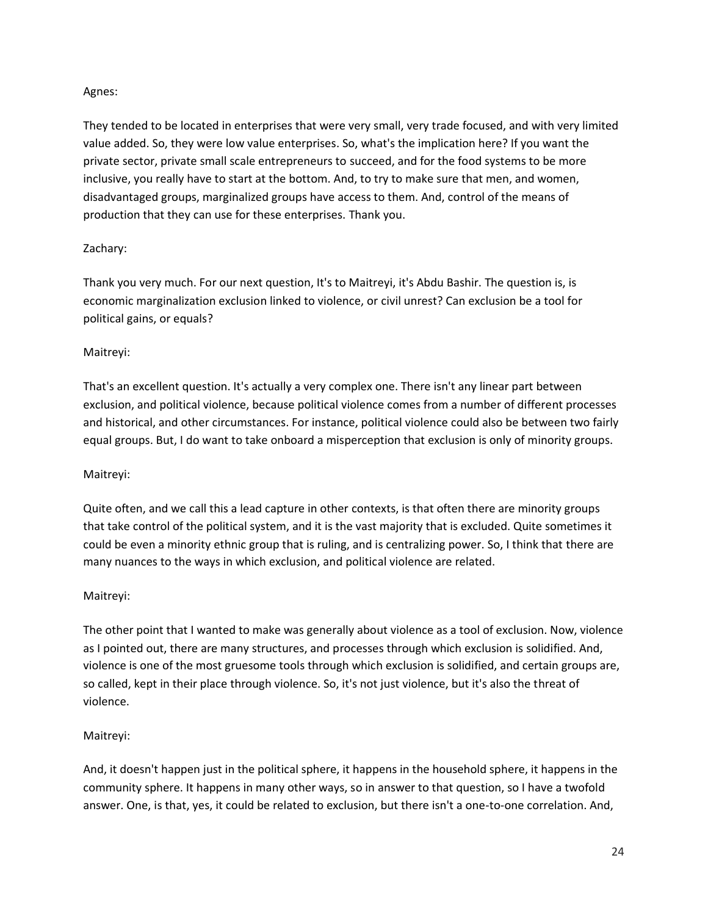# Agnes:

They tended to be located in enterprises that were very small, very trade focused, and with very limited value added. So, they were low value enterprises. So, what's the implication here? If you want the private sector, private small scale entrepreneurs to succeed, and for the food systems to be more inclusive, you really have to start at the bottom. And, to try to make sure that men, and women, disadvantaged groups, marginalized groups have access to them. And, control of the means of production that they can use for these enterprises. Thank you.

# Zachary:

Thank you very much. For our next question, It's to Maitreyi, it's Abdu Bashir. The question is, is economic marginalization exclusion linked to violence, or civil unrest? Can exclusion be a tool for political gains, or equals?

# Maitreyi:

That's an excellent question. It's actually a very complex one. There isn't any linear part between exclusion, and political violence, because political violence comes from a number of different processes and historical, and other circumstances. For instance, political violence could also be between two fairly equal groups. But, I do want to take onboard a misperception that exclusion is only of minority groups.

#### Maitreyi:

Quite often, and we call this a lead capture in other contexts, is that often there are minority groups that take control of the political system, and it is the vast majority that is excluded. Quite sometimes it could be even a minority ethnic group that is ruling, and is centralizing power. So, I think that there are many nuances to the ways in which exclusion, and political violence are related.

#### Maitreyi:

The other point that I wanted to make was generally about violence as a tool of exclusion. Now, violence as I pointed out, there are many structures, and processes through which exclusion is solidified. And, violence is one of the most gruesome tools through which exclusion is solidified, and certain groups are, so called, kept in their place through violence. So, it's not just violence, but it's also the threat of violence.

# Maitreyi:

And, it doesn't happen just in the political sphere, it happens in the household sphere, it happens in the community sphere. It happens in many other ways, so in answer to that question, so I have a twofold answer. One, is that, yes, it could be related to exclusion, but there isn't a one-to-one correlation. And,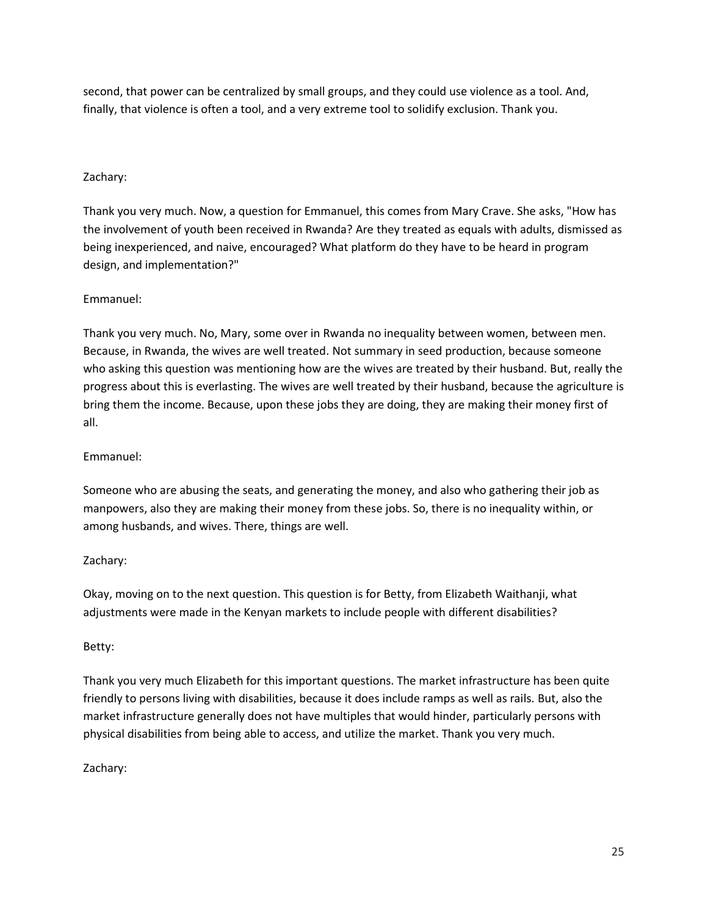second, that power can be centralized by small groups, and they could use violence as a tool. And, finally, that violence is often a tool, and a very extreme tool to solidify exclusion. Thank you.

# Zachary:

Thank you very much. Now, a question for Emmanuel, this comes from Mary Crave. She asks, "How has the involvement of youth been received in Rwanda? Are they treated as equals with adults, dismissed as being inexperienced, and naive, encouraged? What platform do they have to be heard in program design, and implementation?"

# Emmanuel:

Thank you very much. No, Mary, some over in Rwanda no inequality between women, between men. Because, in Rwanda, the wives are well treated. Not summary in seed production, because someone who asking this question was mentioning how are the wives are treated by their husband. But, really the progress about this is everlasting. The wives are well treated by their husband, because the agriculture is bring them the income. Because, upon these jobs they are doing, they are making their money first of all.

## Emmanuel:

Someone who are abusing the seats, and generating the money, and also who gathering their job as manpowers, also they are making their money from these jobs. So, there is no inequality within, or among husbands, and wives. There, things are well.

#### Zachary:

Okay, moving on to the next question. This question is for Betty, from Elizabeth Waithanji, what adjustments were made in the Kenyan markets to include people with different disabilities?

#### Betty:

Thank you very much Elizabeth for this important questions. The market infrastructure has been quite friendly to persons living with disabilities, because it does include ramps as well as rails. But, also the market infrastructure generally does not have multiples that would hinder, particularly persons with physical disabilities from being able to access, and utilize the market. Thank you very much.

#### Zachary: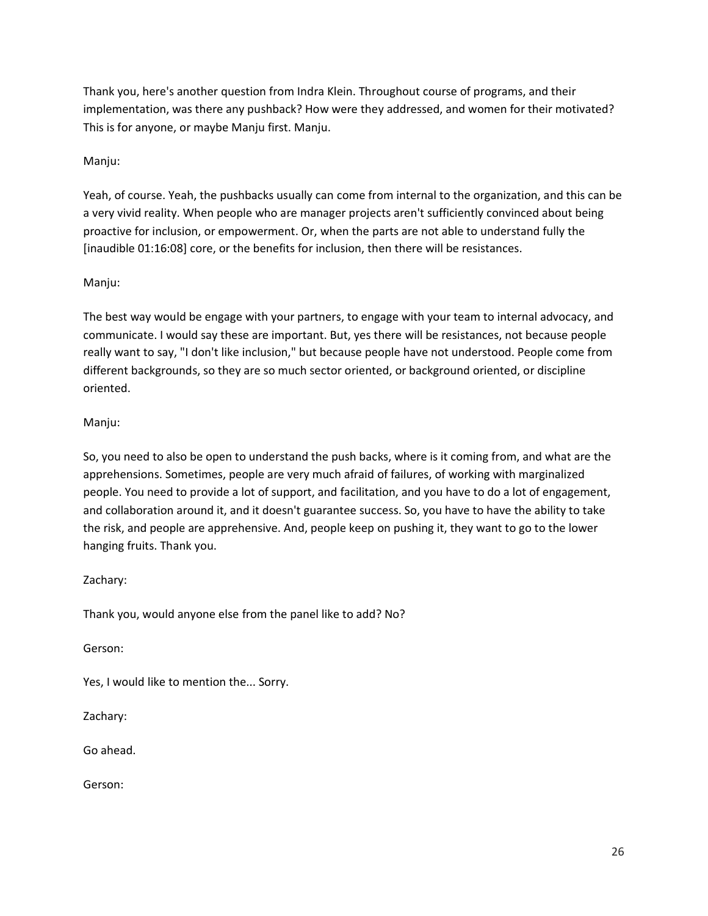Thank you, here's another question from Indra Klein. Throughout course of programs, and their implementation, was there any pushback? How were they addressed, and women for their motivated? This is for anyone, or maybe Manju first. Manju.

# Manju:

Yeah, of course. Yeah, the pushbacks usually can come from internal to the organization, and this can be a very vivid reality. When people who are manager projects aren't sufficiently convinced about being proactive for inclusion, or empowerment. Or, when the parts are not able to understand fully the [inaudible 01:16:08] core, or the benefits for inclusion, then there will be resistances.

#### Manju:

The best way would be engage with your partners, to engage with your team to internal advocacy, and communicate. I would say these are important. But, yes there will be resistances, not because people really want to say, "I don't like inclusion," but because people have not understood. People come from different backgrounds, so they are so much sector oriented, or background oriented, or discipline oriented.

# Manju:

So, you need to also be open to understand the push backs, where is it coming from, and what are the apprehensions. Sometimes, people are very much afraid of failures, of working with marginalized people. You need to provide a lot of support, and facilitation, and you have to do a lot of engagement, and collaboration around it, and it doesn't guarantee success. So, you have to have the ability to take the risk, and people are apprehensive. And, people keep on pushing it, they want to go to the lower hanging fruits. Thank you.

# Zachary:

Thank you, would anyone else from the panel like to add? No?

Gerson:

Yes, I would like to mention the... Sorry.

Zachary:

Go ahead.

Gerson: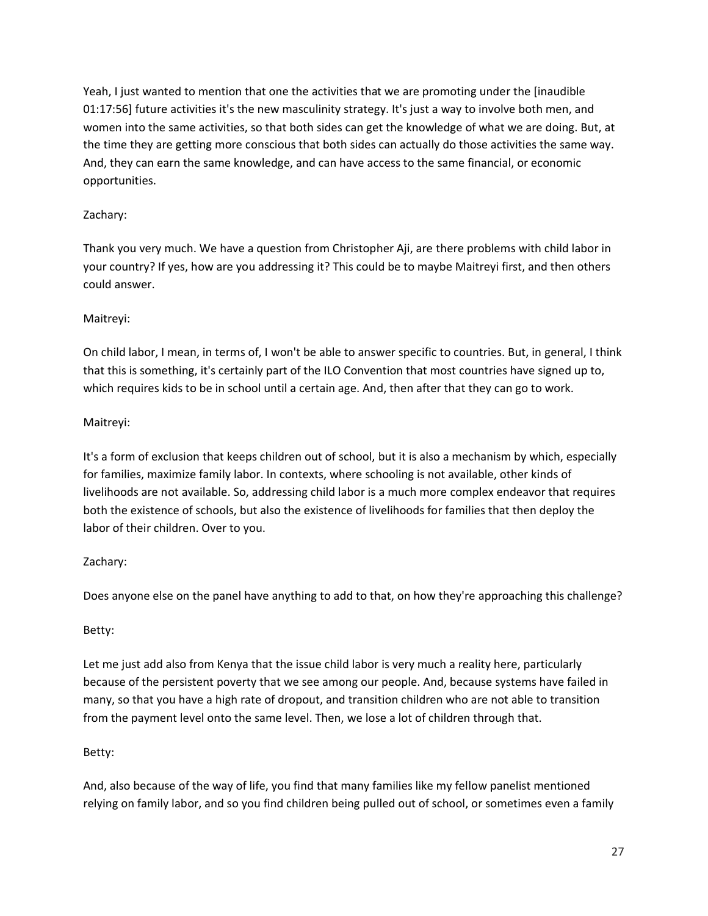Yeah, I just wanted to mention that one the activities that we are promoting under the [inaudible 01:17:56] future activities it's the new masculinity strategy. It's just a way to involve both men, and women into the same activities, so that both sides can get the knowledge of what we are doing. But, at the time they are getting more conscious that both sides can actually do those activities the same way. And, they can earn the same knowledge, and can have access to the same financial, or economic opportunities.

# Zachary:

Thank you very much. We have a question from Christopher Aji, are there problems with child labor in your country? If yes, how are you addressing it? This could be to maybe Maitreyi first, and then others could answer.

# Maitreyi:

On child labor, I mean, in terms of, I won't be able to answer specific to countries. But, in general, I think that this is something, it's certainly part of the ILO Convention that most countries have signed up to, which requires kids to be in school until a certain age. And, then after that they can go to work.

# Maitreyi:

It's a form of exclusion that keeps children out of school, but it is also a mechanism by which, especially for families, maximize family labor. In contexts, where schooling is not available, other kinds of livelihoods are not available. So, addressing child labor is a much more complex endeavor that requires both the existence of schools, but also the existence of livelihoods for families that then deploy the labor of their children. Over to you.

# Zachary:

Does anyone else on the panel have anything to add to that, on how they're approaching this challenge?

# Betty:

Let me just add also from Kenya that the issue child labor is very much a reality here, particularly because of the persistent poverty that we see among our people. And, because systems have failed in many, so that you have a high rate of dropout, and transition children who are not able to transition from the payment level onto the same level. Then, we lose a lot of children through that.

# Betty:

And, also because of the way of life, you find that many families like my fellow panelist mentioned relying on family labor, and so you find children being pulled out of school, or sometimes even a family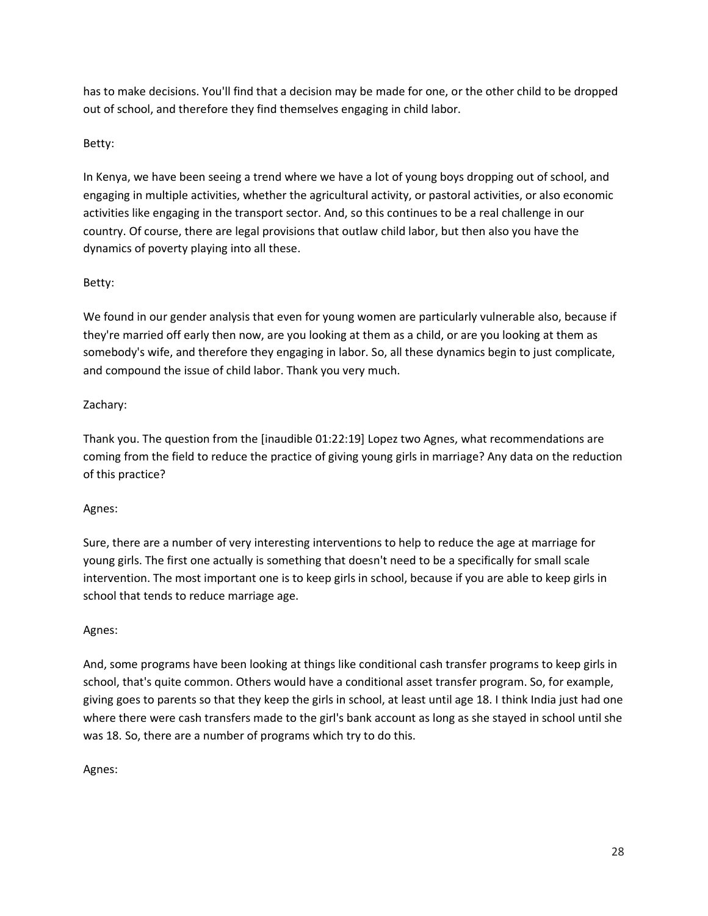has to make decisions. You'll find that a decision may be made for one, or the other child to be dropped out of school, and therefore they find themselves engaging in child labor.

# Betty:

In Kenya, we have been seeing a trend where we have a lot of young boys dropping out of school, and engaging in multiple activities, whether the agricultural activity, or pastoral activities, or also economic activities like engaging in the transport sector. And, so this continues to be a real challenge in our country. Of course, there are legal provisions that outlaw child labor, but then also you have the dynamics of poverty playing into all these.

# Betty:

We found in our gender analysis that even for young women are particularly vulnerable also, because if they're married off early then now, are you looking at them as a child, or are you looking at them as somebody's wife, and therefore they engaging in labor. So, all these dynamics begin to just complicate, and compound the issue of child labor. Thank you very much.

# Zachary:

Thank you. The question from the [inaudible 01:22:19] Lopez two Agnes, what recommendations are coming from the field to reduce the practice of giving young girls in marriage? Any data on the reduction of this practice?

# Agnes:

Sure, there are a number of very interesting interventions to help to reduce the age at marriage for young girls. The first one actually is something that doesn't need to be a specifically for small scale intervention. The most important one is to keep girls in school, because if you are able to keep girls in school that tends to reduce marriage age.

# Agnes:

And, some programs have been looking at things like conditional cash transfer programs to keep girls in school, that's quite common. Others would have a conditional asset transfer program. So, for example, giving goes to parents so that they keep the girls in school, at least until age 18. I think India just had one where there were cash transfers made to the girl's bank account as long as she stayed in school until she was 18. So, there are a number of programs which try to do this.

# Agnes: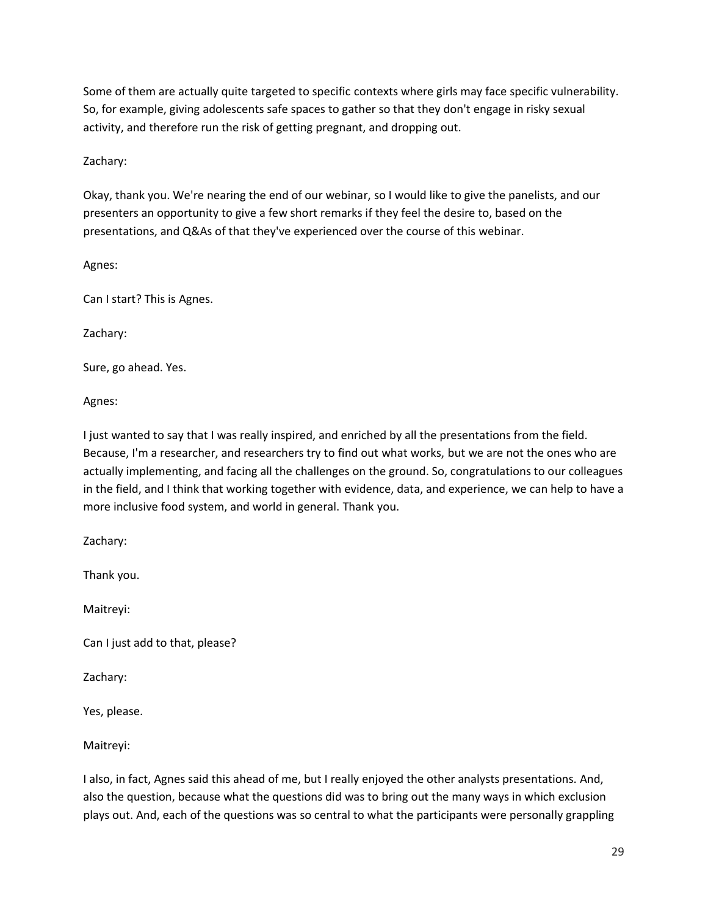Some of them are actually quite targeted to specific contexts where girls may face specific vulnerability. So, for example, giving adolescents safe spaces to gather so that they don't engage in risky sexual activity, and therefore run the risk of getting pregnant, and dropping out.

Zachary:

Okay, thank you. We're nearing the end of our webinar, so I would like to give the panelists, and our presenters an opportunity to give a few short remarks if they feel the desire to, based on the presentations, and Q&As of that they've experienced over the course of this webinar.

Agnes:

Can I start? This is Agnes.

Zachary:

Sure, go ahead. Yes.

Agnes:

I just wanted to say that I was really inspired, and enriched by all the presentations from the field. Because, I'm a researcher, and researchers try to find out what works, but we are not the ones who are actually implementing, and facing all the challenges on the ground. So, congratulations to our colleagues in the field, and I think that working together with evidence, data, and experience, we can help to have a more inclusive food system, and world in general. Thank you.

Zachary:

Thank you.

Maitreyi:

Can I just add to that, please?

Zachary:

Yes, please.

Maitreyi:

I also, in fact, Agnes said this ahead of me, but I really enjoyed the other analysts presentations. And, also the question, because what the questions did was to bring out the many ways in which exclusion plays out. And, each of the questions was so central to what the participants were personally grappling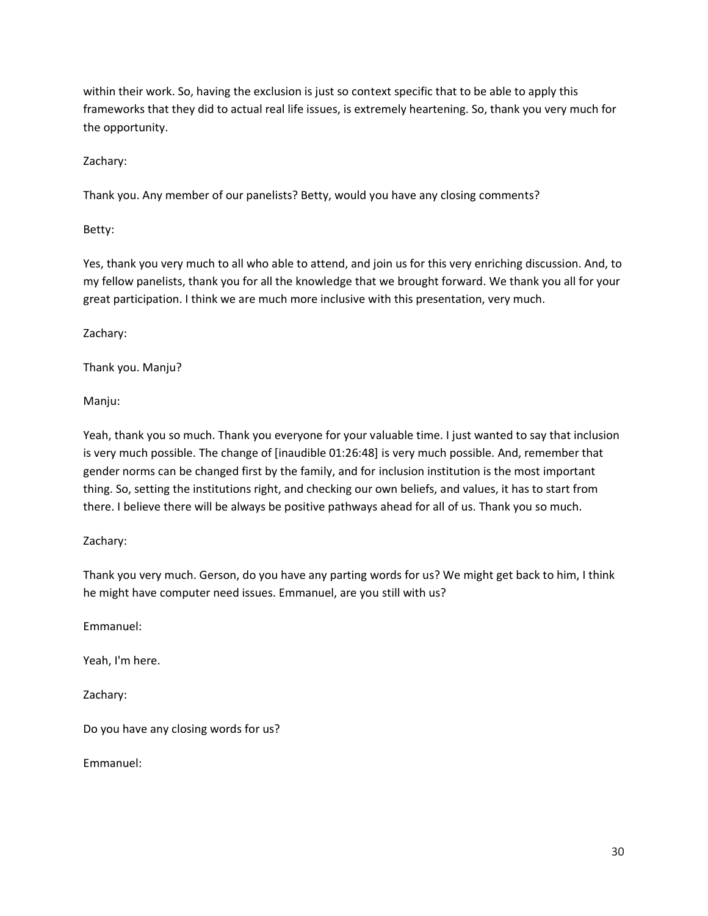within their work. So, having the exclusion is just so context specific that to be able to apply this frameworks that they did to actual real life issues, is extremely heartening. So, thank you very much for the opportunity.

Zachary:

Thank you. Any member of our panelists? Betty, would you have any closing comments?

Betty:

Yes, thank you very much to all who able to attend, and join us for this very enriching discussion. And, to my fellow panelists, thank you for all the knowledge that we brought forward. We thank you all for your great participation. I think we are much more inclusive with this presentation, very much.

Zachary:

Thank you. Manju?

Manju:

Yeah, thank you so much. Thank you everyone for your valuable time. I just wanted to say that inclusion is very much possible. The change of [inaudible 01:26:48] is very much possible. And, remember that gender norms can be changed first by the family, and for inclusion institution is the most important thing. So, setting the institutions right, and checking our own beliefs, and values, it has to start from there. I believe there will be always be positive pathways ahead for all of us. Thank you so much.

#### Zachary:

Thank you very much. Gerson, do you have any parting words for us? We might get back to him, I think he might have computer need issues. Emmanuel, are you still with us?

Emmanuel:

Yeah, I'm here.

Zachary:

Do you have any closing words for us?

Emmanuel: